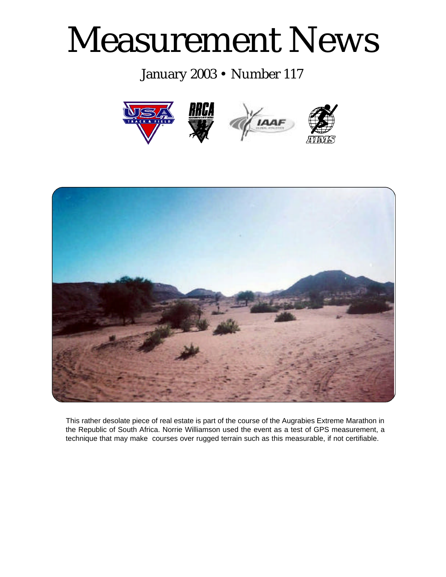# Measurement News

# January 2003 • Number 117





This rather desolate piece of real estate is part of the course of the Augrabies Extreme Marathon in the Republic of South Africa. Norrie Williamson used the event as a test of GPS measurement, a technique that may make courses over rugged terrain such as this measurable, if not certifiable.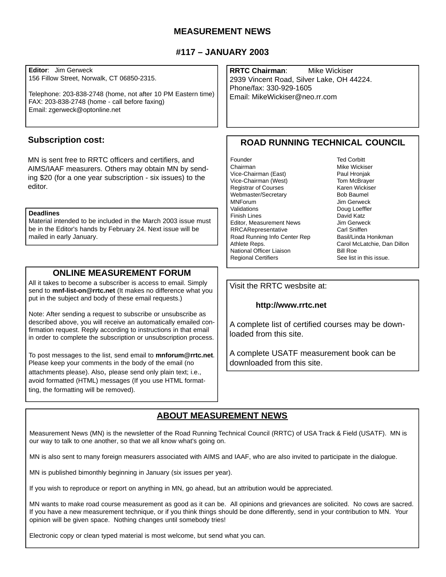# **MEASUREMENT NEWS**

# **#117 – JANUARY 2003**

**Editor**: Jim Gerweck 156 Fillow Street, Norwalk, CT 06850-2315. Telephone: 203-838-2748 (home, not after 10 PM Eastern time) FAX: 203-838-2748 (home - call before faxing) Email: zgerweck@optonline.net **ROAD RUNNING TECHNICAL COUNCIL** Founder Ted Corbitt Chairman Mike Wickiser Vice-Chairman (East) Paul Hronjak<br>Vice-Chairman (West) Pom McBrayer Vice-Chairman (West) Registrar of Courses Karen Wickiser Webmaster/Secretary Bob Baumel MNForum Jim Gerweck<br>Validations Doug Loeffler Doug Loeffler<br>David Katz Finish Lines Editor, Measurement News **Jim Gerweck** RRCARepresentative Carl Sniffen Road Running Info Center Rep Basil/Linda Honikman Athlete Reps. Carol McLatchie, Dan Dillon National Officer Liaison Bill Roe Regional Certifiers See list in this issue. **RRTC Chairman**: Mike Wickiser 2939 Vincent Road, Silver Lake, OH 44224. Phone/fax: 330-929-1605 Email: MikeWickiser@neo.rr.com **Subscription cost:** MN is sent free to RRTC officers and certifiers, and AIMS/IAAF measurers. Others may obtain MN by sending \$20 (for a one year subscription - six issues) to the editor. **Deadlines** Material intended to be included in the March 2003 issue must be in the Editor's hands by February 24. Next issue will be mailed in early January.

# **ONLINE MEASUREMENT FORUM**

All it takes to become a subscriber is access to email. Simply send to **mnf-list-on@rrtc.net** (It makes no difference what you put in the subject and body of these email requests.)

Note: After sending a request to subscribe or unsubscribe as described above, you will receive an automatically emailed confirmation request. Reply according to instructions in that email in order to complete the subscription or unsubscription process.

To post messages to the list, send email to **mnforum@rrtc.net**. Please keep your comments in the body of the email (no attachments please). Also, please send only plain text; i.e., avoid formatted (HTML) messages (If you use HTML formatting, the formatting will be removed).

## Visit the RRTC wesbsite at:

## **http://www.rrtc.net**

A complete list of certified courses may be downloaded from this site.

A complete USATF measurement book can be downloaded from this site.

# **ABOUT MEASUREMENT NEWS**

Measurement News (MN) is the newsletter of the Road Running Technical Council (RRTC) of USA Track & Field (USATF). MN is our way to talk to one another, so that we all know what's going on.

MN is also sent to many foreign measurers associated with AIMS and IAAF, who are also invited to participate in the dialogue.

MN is published bimonthly beginning in January (six issues per year).

If you wish to reproduce or report on anything in MN, go ahead, but an attribution would be appreciated.

MN wants to make road course measurement as good as it can be. All opinions and grievances are solicited. No cows are sacred. If you have a new measurement technique, or if you think things should be done differently, send in your contribution to MN. Your opinion will be given space. Nothing changes until somebody tries!

Electronic copy or clean typed material is most welcome, but send what you can.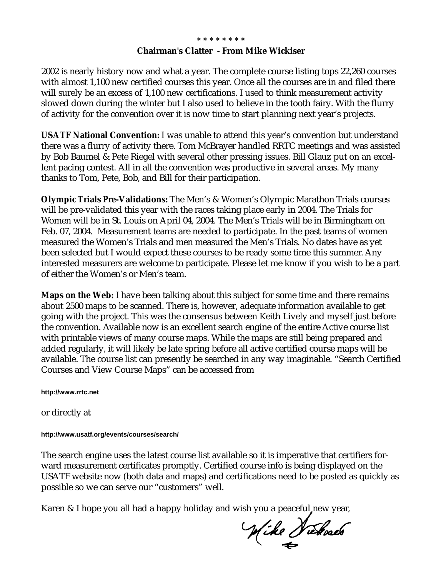# **\* \* \* \* \* \* \* \* Chairman's Clatter - From Mike Wickiser**

2002 is nearly history now and what a year. The complete course listing tops 22,260 courses with almost 1,100 new certified courses this year. Once all the courses are in and filed there will surely be an excess of 1,100 new certifications. I used to think measurement activity slowed down during the winter but I also used to believe in the tooth fairy. With the flurry of activity for the convention over it is now time to start planning next year's projects.

**USATF National Convention:** I was unable to attend this year's convention but understand there was a flurry of activity there. Tom McBrayer handled RRTC meetings and was assisted by Bob Baumel & Pete Riegel with several other pressing issues. Bill Glauz put on an excellent pacing contest. All in all the convention was productive in several areas. My many thanks to Tom, Pete, Bob, and Bill for their participation.

**Olympic Trials Pre-Validations:** The Men's & Women's Olympic Marathon Trials courses will be pre-validated this year with the races taking place early in 2004. The Trials for Women will be in St. Louis on April 04, 2004. The Men's Trials will be in Birmingham on Feb. 07, 2004. Measurement teams are needed to participate. In the past teams of women measured the Women's Trials and men measured the Men's Trials. No dates have as yet been selected but I would expect these courses to be ready some time this summer. Any interested measurers are welcome to participate. Please let me know if you wish to be a part of either the Women's or Men's team.

**Maps on the Web:** I have been talking about this subject for some time and there remains about 2500 maps to be scanned. There is, however, adequate information available to get going with the project. This was the consensus between Keith Lively and myself just before the convention. Available now is an excellent search engine of the entire Active course list with printable views of many course maps. While the maps are still being prepared and added regularly, it will likely be late spring before all active certified course maps will be available. The course list can presently be searched in any way imaginable. "Search Certified Courses and View Course Maps" can be accessed from

**http://www.rrtc.net**

or directly at

# **http://www.usatf.org/events/courses/search/**

The search engine uses the latest course list available so it is imperative that certifiers forward measurement certificates promptly. Certified course info is being displayed on the USATF website now (both data and maps) and certifications need to be posted as quickly as possible so we can serve our "customers" well.

Karen & I hope you all had a happy holiday and wish you a peaceful new year,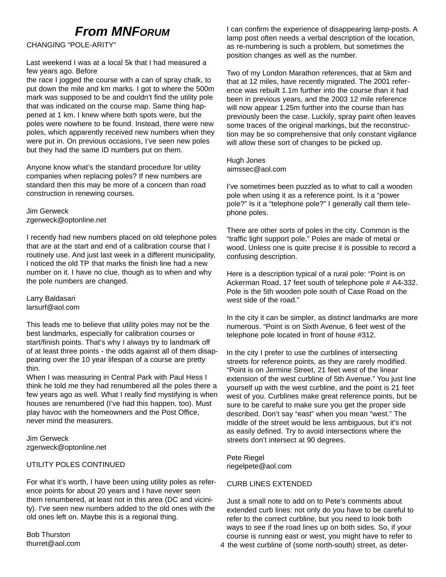# *From MNFORUM*

CHANGING "POLE-ARITY"

Last weekend I was at a local 5k that I had measured a few years ago. Before

the race I jogged the course with a can of spray chalk, to put down the mile and km marks. I got to where the 500m mark was supposed to be and couldn't find the utility pole that was indicated on the course map. Same thing happened at 1 km. I knew where both spots were, but the poles were nowhere to be found. Instead, there were new poles, which apparently received new numbers when they were put in. On previous occasions, I've seen new poles but they had the same ID numbers put on them.

Anyone know what's the standard procedure for utility companies when replacing poles? If new numbers are standard then this may be more of a concern than road construction in renewing courses.

Jim Gerweck zgerweck@optonline.net

I recently had new numbers placed on old telephone poles that are at the start and end of a calibration course that I routinely use. And just last week in a different municipality, I noticed the old TP that marks the finish line had a new number on it. I have no clue, though as to when and why the pole numbers are changed.

#### Larry Baldasari larsurf@aol.com

This leads me to believe that utility poles may not be the best landmarks, especially for calibration courses or start/finish points. That's why I always try to landmark off of at least three points - the odds against all of them disappearing over the 10 year lifespan of a course are pretty thin.

When I was measuring in Central Park with Paul Hess I think he told me they had renumbered all the poles there a few years ago as well. What I really find mystifying is when houses are renumbered (I've had this happen, too). Must play havoc with the homeowners and the Post Office, never mind the measurers.

Jim Gerweck zgerweck@optonline.net

# UTILITY POLES CONTINUED

For what it's worth, I have been using utility poles as reference points for about 20 years and I have never seen them renumbered, at least not in this area (DC and vicinity). I've seen new numbers added to the old ones with the old ones left on. Maybe this is a regional thing.

Bob Thurston thurret@aol.com I can confirm the experience of disappearing lamp-posts. A lamp post often needs a verbal description of the location, as re-numbering is such a problem, but sometimes the position changes as well as the number.

Two of my London Marathon references, that at 5km and that at 12 miles, have recently migrated. The 2001 reference was rebuilt 1.1m further into the course than it had been in previous years, and the 2003 12 mile reference will now appear 1.25m further into the course than has previously been the case. Luckily, spray paint often leaves some traces of the original markings, but the reconstruction may be so comprehensive that only constant vigilance will allow these sort of changes to be picked up.

Hugh Jones aimssec@aol.com

I've sometimes been puzzled as to what to call a wooden pole when using it as a reference point. Is it a "power pole?" Is it a "telephone pole?" I generally call them telephone poles.

There are other sorts of poles in the city. Common is the "traffic light support pole." Poles are made of metal or wood. Unless one is quite precise it is possible to record a confusing description.

Here is a description typical of a rural pole: "Point is on Ackerman Road, 17 feet south of telephone pole # A4-332. Pole is the 5th wooden pole south of Case Road on the west side of the road."

In the city it can be simpler, as distinct landmarks are more numerous. "Point is on Sixth Avenue, 6 feet west of the telephone pole located in front of house #312.

In the city I prefer to use the curblines of intersecting streets for reference points, as they are rarely modified. "Point is on Jermine Street, 21 feet west of the linear extension of the west curbline of 5th Avenue." You just line yourself up with the west curbline, and the point is 21 feet west of you. Curblines make great reference points, but be sure to be careful to make sure you get the proper side described. Don't say "east" when you mean "west." The middle of the street would be less ambiguous, but it's not as easily defined. Try to avoid intersections where the streets don't intersect at 90 degrees.

Pete Riegel riegelpete@aol.com

# CURB LINES EXTENDED

Just a small note to add on to Pete's comments about extended curb lines: not only do you have to be careful to refer to the correct curbline, but you need to look both ways to see if the road lines up on both sides. So, if your course is running east or west, you might have to refer to 4 the west curbline of (some north-south) street, as deter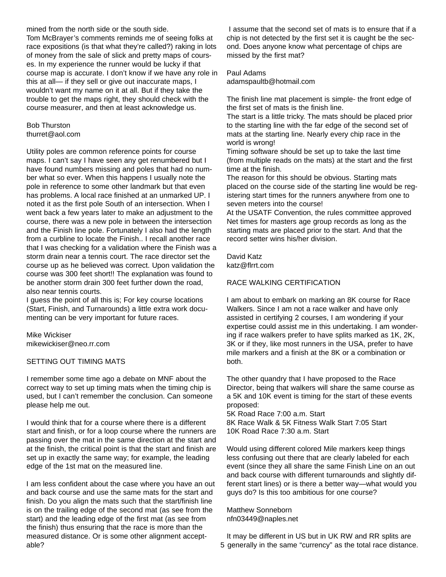mined from the north side or the south side.

Tom McBrayer's comments reminds me of seeing folks at race expositions (is that what they're called?) raking in lots of money from the sale of slick and pretty maps of courses. In my experience the runner would be lucky if that course map is accurate. I don't know if we have any role in this at all— if they sell or give out inaccurate maps, I wouldn't want my name on it at all. But if they take the trouble to get the maps right, they should check with the course measurer, and then at least acknowledge us.

#### Bob Thurston thurret@aol.com

Utility poles are common reference points for course maps. I can't say I have seen any get renumbered but I have found numbers missing and poles that had no number what so ever. When this happens I usually note the pole in reference to some other landmark but that even has problems. A local race finished at an unmarked UP. I noted it as the first pole South of an intersection. When I went back a few years later to make an adjustment to the course, there was a new pole in between the intersection and the Finish line pole. Fortunately I also had the length from a curbline to locate the Finish.. I recall another race that I was checking for a validation where the Finish was a storm drain near a tennis court. The race director set the course up as he believed was correct. Upon validation the course was 300 feet short!! The explanation was found to be another storm drain 300 feet further down the road, also near tennis courts.

I guess the point of all this is; For key course locations (Start, Finish, and Turnarounds) a little extra work documenting can be very important for future races.

Mike Wickiser mikewickiser@neo.rr.com

## SETTING OUT TIMING MATS

I remember some time ago a debate on MNF about the correct way to set up timing mats when the timing chip is used, but I can't remember the conclusion. Can someone please help me out.

I would think that for a course where there is a different start and finish, or for a loop course where the runners are passing over the mat in the same direction at the start and at the finish, the critical point is that the start and finish are set up in exactly the same way; for example, the leading edge of the 1st mat on the measured line.

I am less confident about the case where you have an out and back course and use the same mats for the start and finish. Do you align the mats such that the start/finish line is on the trailing edge of the second mat (as see from the start) and the leading edge of the first mat (as see from the finish) thus ensuring that the race is more than the measured distance. Or is some other alignment acceptable?

I assume that the second set of mats is to ensure that if a chip is not detected by the first set it is caught be the second. Does anyone know what percentage of chips are missed by the first mat?

## Paul Adams

adamspaultb@hotmail.com

The finish line mat placement is simple- the front edge of the first set of mats is the finish line.

The start is a little tricky. The mats should be placed prior to the starting line with the far edge of the second set of mats at the starting line. Nearly every chip race in the world is wrong!

Timing software should be set up to take the last time (from multiple reads on the mats) at the start and the first time at the finish.

The reason for this should be obvious. Starting mats placed on the course side of the starting line would be registering start times for the runners anywhere from one to seven meters into the course!

At the USATF Convention, the rules committee approved Net times for masters age group records as long as the starting mats are placed prior to the start. And that the record setter wins his/her division.

David Katz katz@flrrt.com

# RACE WALKING CERTIFICATION

I am about to embark on marking an 8K course for Race Walkers. Since I am not a race walker and have only assisted in certifying 2 courses, I am wondering if your expertise could assist me in this undertaking. I am wondering if race walkers prefer to have splits marked as 1K, 2K, 3K or if they, like most runners in the USA, prefer to have mile markers and a finish at the 8K or a combination or both.

The other quandry that I have proposed to the Race Director, being that walkers will share the same course as a 5K and 10K event is timing for the start of these events proposed:

5K Road Race 7:00 a.m. Start 8K Race Walk & 5K Fitness Walk Start 7:05 Start 10K Road Race 7:30 a.m. Start

Would using different colored Mile markers keep things less confusing out there that are clearly labeled for each event (since they all share the same Finish Line on an out and back course with different turnarounds and slightly different start lines) or is there a better way—what would you guys do? Is this too ambitious for one course?

Matthew Sonneborn nfn03449@naples.net

It may be different in US but in UK RW and RR splits are 5 generally in the same "currency" as the total race distance.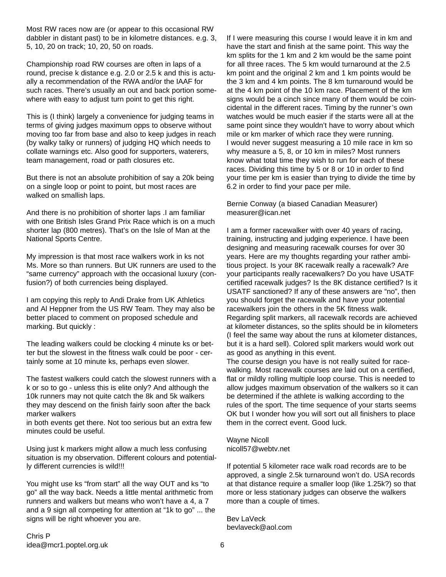Most RW races now are (or appear to this occasional RW dabbler in distant past) to be in kilometre distances. e.g. 3, 5, 10, 20 on track; 10, 20, 50 on roads.

Championship road RW courses are often in laps of a round, precise k distance e.g. 2.0 or 2.5 k and this is actually a recommendation of the RWA and/or the IAAF for such races. There's usually an out and back portion somewhere with easy to adjust turn point to get this right.

This is (I think) largely a convenience for judging teams in terms of giving judges maximum opps to observe without moving too far from base and also to keep judges in reach (by walky talky or runners) of judging HQ which needs to collate warnings etc. Also good for supporters, waterers, team management, road or path closures etc.

But there is not an absolute prohibition of say a 20k being on a single loop or point to point, but most races are walked on smallish laps.

And there is no prohibition of shorter laps .I am familiar with one British Isles Grand Prix Race which is on a much shorter lap (800 metres). That's on the Isle of Man at the National Sports Centre.

My impression is that most race walkers work in ks not Ms. More so than runners. But UK runners are used to the "same currency" approach with the occasional luxury (confusion?) of both currencies being displayed.

I am copying this reply to Andi Drake from UK Athletics and Al Heppner from the US RW Team. They may also be better placed to comment on proposed schedule and marking. But quickly :

The leading walkers could be clocking 4 minute ks or better but the slowest in the fitness walk could be poor - certainly some at 10 minute ks, perhaps even slower.

The fastest walkers could catch the slowest runners with a k or so to go - unless this is elite only? And although the 10k runners may not quite catch the 8k and 5k walkers they may descend on the finish fairly soon after the back marker walkers

in both events get there. Not too serious but an extra few minutes could be useful.

Using just k markers might allow a much less confusing situation is my observation. Different colours and potentially different currencies is wild!!!

You might use ks "from start" all the way OUT and ks "to go" all the way back. Needs a little mental arithmetic from runners and walkers but means who won't have a 4, a 7 and a 9 sign all competing for attention at "1k to go" ... the signs will be right whoever you are.

If I were measuring this course I would leave it in km and have the start and finish at the same point. This way the km splits for the 1 km and 2 km would be the same point for all three races. The 5 km would turnaround at the 2.5 km point and the original 2 km and 1 km points would be the 3 km and 4 km points. The 8 km turnaround would be at the 4 km point of the 10 km race. Placement of the km signs would be a cinch since many of them would be coincidental in the different races. Timing by the runner's own watches would be much easier if the starts were all at the same point since they wouldn't have to worry about which mile or km marker of which race they were running. I would never suggest measuring a 10 mile race in km so why measure a 5, 8, or 10 km in miles? Most runners know what total time they wish to run for each of these races. Dividing this time by 5 or 8 or 10 in order to find your time per km is easier than trying to divide the time by 6.2 in order to find your pace per mile.

Bernie Conway (a biased Canadian Measurer) measurer@ican.net

I am a former racewalker with over 40 years of racing, training, instructing and judging experience. I have been designing and measuring racewalk courses for over 30 years. Here are my thoughts regarding your rather ambitious project. Is your 8K racewalk really a racewalk? Are your participants really racewalkers? Do you have USATF certified racewalk judges? Is the 8K distance certified? Is it USATF sanctioned? If any of these answers are "no", then you should forget the racewalk and have your potential racewalkers join the others in the 5K fitness walk. Regarding split markers, all racewalk records are achieved at kilometer distances, so the splits should be in kilometers (I feel the same way about the runs at kilometer distances, but it is a hard sell). Colored split markers would work out as good as anything in this event.

The course design you have is not really suited for racewalking. Most racewalk courses are laid out on a certified, flat or mildly rolling multiple loop course. This is needed to allow judges maximum observation of the walkers so it can be determined if the athlete is walking according to the rules of the sport. The time sequence of your starts seems OK but I wonder how you will sort out all finishers to place them in the correct event. Good luck.

Wayne Nicoll nicoll57@webtv.net

If potential 5 kilometer race walk road records are to be approved, a single 2.5k turnaround won't do. USA records at that distance require a smaller loop (like 1.25k?) so that more or less stationary judges can observe the walkers more than a couple of times.

Bev LaVeck bevlaveck@aol.com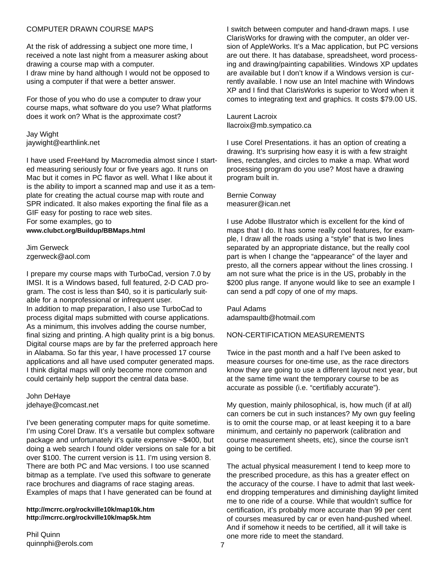#### COMPUTER DRAWN COURSE MAPS

At the risk of addressing a subject one more time, I received a note last night from a measurer asking about drawing a course map with a computer. I draw mine by hand although I would not be opposed to using a computer if that were a better answer.

For those of you who do use a computer to draw your course maps, what software do you use? What platforms does it work on? What is the approximate cost?

#### Jay Wight jaywight@earthlink.net

I have used FreeHand by Macromedia almost since I started measuring seriously four or five years ago. It runs on Mac but it comes in PC flavor as well. What I like about it is the ability to import a scanned map and use it as a template for creating the actual course map with route and SPR indicated. It also makes exporting the final file as a GIF easy for posting to race web sites. For some examples, go to

#### **www.clubct.org/Buildup/BBMaps.html**

Jim Gerweck zgerweck@aol.com

I prepare my course maps with TurboCad, version 7.0 by IMSI. It is a Windows based, full featured, 2-D CAD program. The cost is less than \$40, so it is particularly suitable for a nonprofessional or infrequent user. In addition to map preparation, I also use TurboCad to process digital maps submitted with course applications. As a minimum, this involves adding the course number, final sizing and printing. A high quality print is a big bonus. Digital course maps are by far the preferred approach here in Alabama. So far this year, I have processed 17 course applications and all have used computer generated maps. I think digital maps will only become more common and could certainly help support the central data base.

John DeHaye jdehaye@comcast.net

I've been generating computer maps for quite sometime. I'm using Corel Draw. It's a versatile but complex software package and unfortunately it's quite expensive ~\$400, but doing a web search I found older versions on sale for a bit over \$100. The current version is 11. I'm using version 8. There are both PC and Mac versions. I too use scanned bitmap as a template. I've used this software to generate race brochures and diagrams of race staging areas. Examples of maps that I have generated can be found at

#### **http://mcrrc.org/rockville10k/map10k.htm http://mcrrc.org/rockville10k/map5k.htm**

I switch between computer and hand-drawn maps. I use ClarisWorks for drawing with the computer, an older version of AppleWorks. It's a Mac application, but PC versions are out there. It has database, spreadsheet, word processing and drawing/painting capabilities. Windows XP updates are available but I don't know if a Windows version is currently available. I now use an Intel machine with Windows XP and I find that ClarisWorks is superior to Word when it comes to integrating text and graphics. It costs \$79.00 US.

Laurent Lacroix llacroix@mb.sympatico.ca

I use Corel Presentations. it has an option of creating a drawing. It's surprising how easy it is with a few straight lines, rectangles, and circles to make a map. What word processing program do you use? Most have a drawing program built in.

Bernie Conway measurer@ican.net

I use Adobe Illustrator which is excellent for the kind of maps that I do. It has some really cool features, for example, I draw all the roads using a "style" that is two lines separated by an appropriate distance, but the really cool part is when I change the "appearance" of the layer and presto, all the corners appear without the lines crossing. I am not sure what the price is in the US, probably in the \$200 plus range. If anyone would like to see an example I can send a pdf copy of one of my maps.

Paul Adams adamspaultb@hotmail.com

## NON-CERTIFICATION MEASUREMENTS

Twice in the past month and a half I've been asked to measure courses for one-time use, as the race directors know they are going to use a different layout next year, but at the same time want the temporary course to be as accurate as possible (i.e. "certifiably accurate").

My question, mainly philosophical, is, how much (if at all) can corners be cut in such instances? My own guy feeling is to omit the course map, or at least keeping it to a bare minimum, and certainly no paperwork (calibration and course measurement sheets, etc), since the course isn't going to be certified.

The actual physical measurement I tend to keep more to the prescribed procedure, as this has a greater effect on the accuracy of the course. I have to admit that last weekend dropping temperatures and diminishing daylight limited me to one ride of a course. While that wouldn't suffice for certification, it's probably more accurate than 99 per cent of courses measured by car or even hand-pushed wheel. And if somehow it needs to be certified, all it will take is one more ride to meet the standard.

Phil Quinn quinnphi@erols.com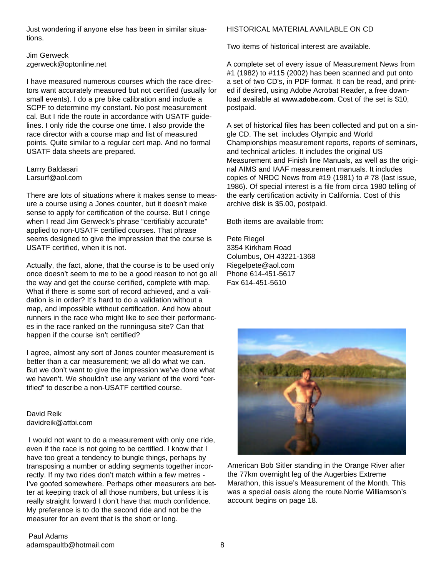Just wondering if anyone else has been in similar situations.

Jim Gerweck zgerweck@optonline.net

I have measured numerous courses which the race directors want accurately measured but not certified (usually for small events). I do a pre bike calibration and include a SCPF to determine my constant. No post measurement cal. But I ride the route in accordance with USATF guidelines. I only ride the course one time. I also provide the race director with a course map and list of measured points. Quite similar to a regular cert map. And no formal USATF data sheets are prepared.

Larrry Baldasari Larsurf@aol.com

There are lots of situations where it makes sense to measure a course using a Jones counter, but it doesn't make sense to apply for certification of the course. But I cringe when I read Jim Gerweck's phrase "certifiably accurate" applied to non-USATF certified courses. That phrase seems designed to give the impression that the course is USATF certified, when it is not.

Actually, the fact, alone, that the course is to be used only once doesn't seem to me to be a good reason to not go all the way and get the course certified, complete with map. What if there is some sort of record achieved, and a validation is in order? It's hard to do a validation without a map, and impossible without certification. And how about runners in the race who might like to see their performances in the race ranked on the runningusa site? Can that happen if the course isn't certified?

I agree, almost any sort of Jones counter measurement is better than a car measurement; we all do what we can. But we don't want to give the impression we've done what we haven't. We shouldn't use any variant of the word "certified" to describe a non-USATF certified course.

David Reik davidreik@attbi.com

I would not want to do a measurement with only one ride, even if the race is not going to be certified. I know that I have too great a tendency to bungle things, perhaps by transposing a number or adding segments together incorrectly. If my two rides don't match within a few metres - I've goofed somewhere. Perhaps other measurers are better at keeping track of all those numbers, but unless it is really straight forward I don't have that much confidence. My preference is to do the second ride and not be the measurer for an event that is the short or long.

## HISTORICAL MATERIALAVAILABLE ON CD

Two items of historical interest are available.

A complete set of every issue of Measurement News from #1 (1982) to #115 (2002) has been scanned and put onto a set of two CD's, in PDF format. It can be read, and printed if desired, using Adobe Acrobat Reader, a free download available at **www.adobe.com**. Cost of the set is \$10, postpaid.

A set of historical files has been collected and put on a single CD. The set includes Olympic and World Championships measurement reports, reports of seminars, and technical articles. It includes the original US Measurement and Finish line Manuals, as well as the original AIMS and IAAF measurement manuals. It includes copies of NRDC News from #19 (1981) to # 78 (last issue, 1986). Of special interest is a file from circa 1980 telling of the early certification activity in California. Cost of this archive disk is \$5.00, postpaid.

Both items are available from:

Pete Riegel 3354 Kirkham Road Columbus, OH 43221-1368 Riegelpete@aol.com Phone 614-451-5617 Fax 614-451-5610



American Bob Sitler standing in the Orange River after the 77km overnight leg of the Augerbies Extreme Marathon, this issue's Measurement of the Month. This was a special oasis along the route.Norrie Williamson's account begins on page 18.

Paul Adams adamspaultb@hotmail.com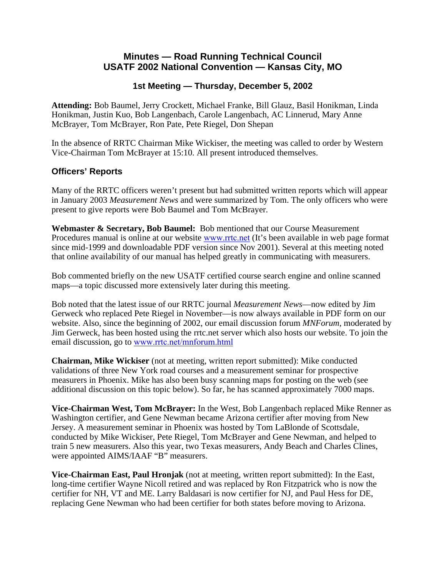# **Minutes — Road Running Technical Council USATF 2002 National Convention — Kansas City, MO**

# **1st Meeting — Thursday, December 5, 2002**

**Attending:** Bob Baumel, Jerry Crockett, Michael Franke, Bill Glauz, Basil Honikman, Linda Honikman, Justin Kuo, Bob Langenbach, Carole Langenbach, AC Linnerud, Mary Anne McBrayer, Tom McBrayer, Ron Pate, Pete Riegel, Don Shepan

In the absence of RRTC Chairman Mike Wickiser, the meeting was called to order by Western Vice-Chairman Tom McBrayer at 15:10. All present introduced themselves.

# **Officers' Reports**

Many of the RRTC officers weren't present but had submitted written reports which will appear in January 2003 *Measurement News* and were summarized by Tom. The only officers who were present to give reports were Bob Baumel and Tom McBrayer.

**Webmaster & Secretary, Bob Baumel:** Bob mentioned that our Course Measurement Procedures manual is online at our website [www.rrtc.net](http://www.rrtc.net/) (It's been available in web page format since mid-1999 and downloadable PDF version since Nov 2001). Several at this meeting noted that online availability of our manual has helped greatly in communicating with measurers.

Bob commented briefly on the new USATF certified course search engine and online scanned maps—a topic discussed more extensively later during this meeting.

Bob noted that the latest issue of our RRTC journal *Measurement News*—now edited by Jim Gerweck who replaced Pete Riegel in November—is now always available in PDF form on our website. Also, since the beginning of 2002, our email discussion forum *MNForum*, moderated by Jim Gerweck, has been hosted using the rrtc.net server which also hosts our website. To join the email discussion, go to [www.rrtc.net/mnforum.html](http://www.rrtc.net/mnforum.html)

**Chairman, Mike Wickiser** (not at meeting, written report submitted): Mike conducted validations of three New York road courses and a measurement seminar for prospective measurers in Phoenix. Mike has also been busy scanning maps for posting on the web (see additional discussion on this topic below). So far, he has scanned approximately 7000 maps.

**Vice-Chairman West, Tom McBrayer:** In the West, Bob Langenbach replaced Mike Renner as Washington certifier, and Gene Newman became Arizona certifier after moving from New Jersey. A measurement seminar in Phoenix was hosted by Tom LaBlonde of Scottsdale, conducted by Mike Wickiser, Pete Riegel, Tom McBrayer and Gene Newman, and helped to train 5 new measurers. Also this year, two Texas measurers, Andy Beach and Charles Clines, were appointed AIMS/IAAF "B" measurers.

**Vice-Chairman East, Paul Hronjak** (not at meeting, written report submitted): In the East, long-time certifier Wayne Nicoll retired and was replaced by Ron Fitzpatrick who is now the certifier for NH, VT and ME. Larry Baldasari is now certifier for NJ, and Paul Hess for DE, replacing Gene Newman who had been certifier for both states before moving to Arizona.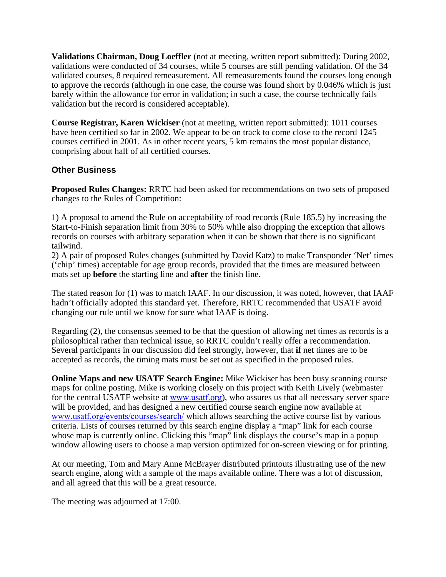**Validations Chairman, Doug Loeffler** (not at meeting, written report submitted): During 2002, validations were conducted of 34 courses, while 5 courses are still pending validation. Of the 34 validated courses, 8 required remeasurement. All remeasurements found the courses long enough to approve the records (although in one case, the course was found short by 0.046% which is just barely within the allowance for error in validation; in such a case, the course technically fails validation but the record is considered acceptable).

**Course Registrar, Karen Wickiser** (not at meeting, written report submitted): 1011 courses have been certified so far in 2002. We appear to be on track to come close to the record 1245 courses certified in 2001. As in other recent years, 5 km remains the most popular distance, comprising about half of all certified courses.

# **Other Business**

**Proposed Rules Changes:** RRTC had been asked for recommendations on two sets of proposed changes to the Rules of Competition:

1) A proposal to amend the Rule on acceptability of road records (Rule 185.5) by increasing the Start-to-Finish separation limit from 30% to 50% while also dropping the exception that allows records on courses with arbitrary separation when it can be shown that there is no significant tailwind.

2) A pair of proposed Rules changes (submitted by David Katz) to make Transponder 'Net' times ('chip' times) acceptable for age group records, provided that the times are measured between mats set up **before** the starting line and **after** the finish line.

The stated reason for (1) was to match IAAF. In our discussion, it was noted, however, that IAAF hadn't officially adopted this standard yet. Therefore, RRTC recommended that USATF avoid changing our rule until we know for sure what IAAF is doing.

Regarding (2), the consensus seemed to be that the question of allowing net times as records is a philosophical rather than technical issue, so RRTC couldn't really offer a recommendation. Several participants in our discussion did feel strongly, however, that **if** net times are to be accepted as records, the timing mats must be set out as specified in the proposed rules.

**Online Maps and new USATF Search Engine:** Mike Wickiser has been busy scanning course maps for online posting. Mike is working closely on this project with Keith Lively (webmaster for the central USATF website at [www.usatf.org](http://www.usatf.org/)), who assures us that all necessary server space will be provided, and has designed a new certified course search engine now available at [www.usatf.org/events/courses/search/](http://www.usatf.org/events/courses/search/) which allows searching the active course list by various criteria. Lists of courses returned by this search engine display a "map" link for each course whose map is currently online. Clicking this "map" link displays the course's map in a popup window allowing users to choose a map version optimized for on-screen viewing or for printing.

At our meeting, Tom and Mary Anne McBrayer distributed printouts illustrating use of the new search engine, along with a sample of the maps available online. There was a lot of discussion, and all agreed that this will be a great resource.

The meeting was adjourned at 17:00.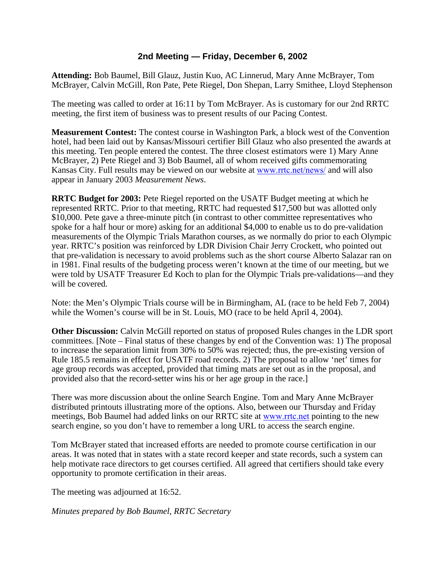# **2nd Meeting — Friday, December 6, 2002**

**Attending:** Bob Baumel, Bill Glauz, Justin Kuo, AC Linnerud, Mary Anne McBrayer, Tom McBrayer, Calvin McGill, Ron Pate, Pete Riegel, Don Shepan, Larry Smithee, Lloyd Stephenson

The meeting was called to order at 16:11 by Tom McBrayer. As is customary for our 2nd RRTC meeting, the first item of business was to present results of our Pacing Contest.

**Measurement Contest:** The contest course in Washington Park, a block west of the Convention hotel, had been laid out by Kansas/Missouri certifier Bill Glauz who also presented the awards at this meeting. Ten people entered the contest. The three closest estimators were 1) Mary Anne McBrayer, 2) Pete Riegel and 3) Bob Baumel, all of whom received gifts commemorating Kansas City. Full results may be viewed on our website at [www.rrtc.net/news/](http://www.rrtc.net/news/) and will also appear in January 2003 *Measurement News*.

**RRTC Budget for 2003:** Pete Riegel reported on the USATF Budget meeting at which he represented RRTC. Prior to that meeting, RRTC had requested \$17,500 but was allotted only \$10,000. Pete gave a three-minute pitch (in contrast to other committee representatives who spoke for a half hour or more) asking for an additional \$4,000 to enable us to do pre-validation measurements of the Olympic Trials Marathon courses, as we normally do prior to each Olympic year. RRTC's position was reinforced by LDR Division Chair Jerry Crockett, who pointed out that pre-validation is necessary to avoid problems such as the short course Alberto Salazar ran on in 1981. Final results of the budgeting process weren't known at the time of our meeting, but we were told by USATF Treasurer Ed Koch to plan for the Olympic Trials pre-validations—and they will be covered.

Note: the Men's Olympic Trials course will be in Birmingham, AL (race to be held Feb 7, 2004) while the Women's course will be in St. Louis, MO (race to be held April 4, 2004).

**Other Discussion:** Calvin McGill reported on status of proposed Rules changes in the LDR sport committees. [Note – Final status of these changes by end of the Convention was: 1) The proposal to increase the separation limit from 30% to 50% was rejected; thus, the pre-existing version of Rule 185.5 remains in effect for USATF road records. 2) The proposal to allow 'net' times for age group records was accepted, provided that timing mats are set out as in the proposal, and provided also that the record-setter wins his or her age group in the race.]

There was more discussion about the online Search Engine. Tom and Mary Anne McBrayer distributed printouts illustrating more of the options. Also, between our Thursday and Friday meetings, Bob Baumel had added links on our RRTC site at [www.rrtc.net](http://www.rrtc.net/) pointing to the new search engine, so you don't have to remember a long URL to access the search engine.

Tom McBrayer stated that increased efforts are needed to promote course certification in our areas. It was noted that in states with a state record keeper and state records, such a system can help motivate race directors to get courses certified. All agreed that certifiers should take every opportunity to promote certification in their areas.

The meeting was adjourned at 16:52.

*Minutes prepared by Bob Baumel, RRTC Secretary*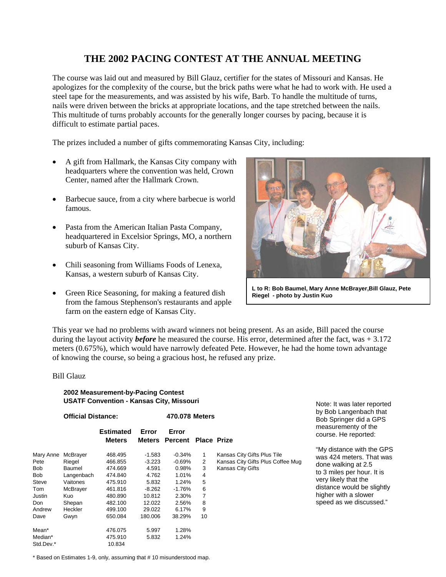# **THE 2002 PACING CONTEST AT THE ANNUAL MEETING**

The course was laid out and measured by Bill Glauz, certifier for the states of Missouri and Kansas. He apologizes for the complexity of the course, but the brick paths were what he had to work with. He used a steel tape for the measurements, and was assisted by his wife, Barb. To handle the multitude of turns, nails were driven between the bricks at appropriate locations, and the tape stretched between the nails. This multitude of turns probably accounts for the generally longer courses by pacing, because it is difficult to estimate partial paces.

The prizes included a number of gifts commemorating Kansas City, including:

- A gift from Hallmark, the Kansas City company with headquarters where the convention was held, Crown Center, named after the Hallmark Crown.
- Barbecue sauce, from a city where barbecue is world famous.
- Pasta from the American Italian Pasta Company, headquartered in Excelsior Springs, MO, a northern suburb of Kansas City.
- Chili seasoning from Williams Foods of Lenexa, Kansas, a western suburb of Kansas City.
- Green Rice Seasoning, for making a featured dish from the famous Stephenson's restaurants and apple farm on the eastern edge of Kansas City.



**L to R: Bob Baumel, Mary Anne McBrayer,Bill Glauz, Pete Riegel - photo by Justin Kuo**

This year we had no problems with award winners not being present. As an aside, Bill paced the course during the layout activity *before* he measured the course. His error, determined after the fact, was + 3.172 meters (0.675%), which would have narrowly defeated Pete. However, he had the home town advantage of knowing the course, so being a gracious host, he refused any prize.

#### Bill Glauz

#### **2002 Measurement-by-Pacing Contest USATF Convention - Kansas City, Missouri**

**Official Distance: 470.078 Meters**

|            |            | Estimated     | Error    | Error          |                    |        |
|------------|------------|---------------|----------|----------------|--------------------|--------|
|            |            | <b>Meters</b> |          | Meters Percent | <b>Place Prize</b> |        |
| Mary Anne  | McBrayer   | 468.495       | $-1.583$ | $-0.34%$       | 1                  | Kansas |
| Pete       | Riegel     | 466.855       | $-3.223$ | $-0.69\%$      | $\overline{2}$     | Kansas |
| Bob        | Baumel     | 474.669       | 4.591    | 0.98%          | 3                  | Kansas |
| <b>Bob</b> | Langenbach | 474.840       | 4.762    | 1.01%          | 4                  |        |
| Steve      | Vaitones   | 475.910       | 5.832    | 1.24%          | 5                  |        |
| Tom        | McBrayer   | 461.816       | $-8.262$ | -1.76%         | 6                  |        |
| Justin     | Kuo        | 480.890       | 10.812   | 2.30%          | 7                  |        |
| Don        | Shepan     | 482.100       | 12.022   | 2.56%          | 8                  |        |
| Andrew     | Heckler    | 499.100       | 29.022   | 6.17%          | 9                  |        |
| Dave       | Gwyn       | 650.084       | 180.006  | 38.29%         | 10                 |        |
| Mean*      |            | 476.075       | 5.997    | 1.28%          |                    |        |
| Median*    |            | 475.910       | 5.832    | 1.24%          |                    |        |
| Std.Dev.*  |            | 10.834        |          |                |                    |        |
|            |            |               |          |                |                    |        |

Kansas City Gifts Plus Tile Kansas City Gifts Plus Coffee Mug Kansas City Gifts

Note: It was later reported by Bob Langenbach that Bob Springer did a GPS measurementy of the course. He reported:

"My distance with the GPS was 424 meters. That was done walking at 2.5 to 3 miles per hour. It is very likely that the distance would be slightly higher with a slower speed as we discussed."

\* Based on Estimates 1-9, only, assuming that # 10 misunderstood map.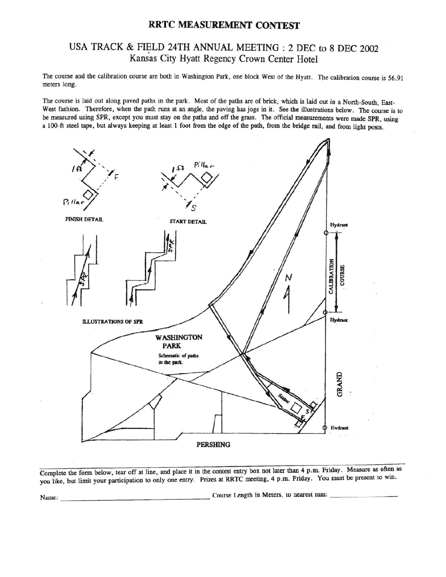# RRTC MEASUREMENT CONTEST

# USA TRACK & FIELD 24TH ANNUAL MEETING : 2 DEC to 8 DEC 2002 Kansas City Hyatt Regency Crown Center Hotel

The course and the calibration course are both in Washington Park, one block West of the Hyatt. The calibration course is 56.91 meters long.

The course is laid out along paved paths in the park. Most of the paths are of brick, which is laid out in a North-South, East-West fashion. Therefore, when the path runs at an angle, the paving has jogs in it. See the illustrations below. The course is to be measured using SPR, except you must stay on the paths and off the grass. The official measurements were made SPR, using a 100-ft steel tape, but always keeping at least 1 foot from the edge of the path, from the bridge rail, and from light posts.



Complete the form below, tear off at line, and place it in the contest entry box not later than 4 p.m. Friday. Measure as often as you like, but limit your participation to only one entry. Prizes at RRTC meeting, 4 p.m. Friday. You must be present to win.

Course Length in Meters, to nearest mm:

Name: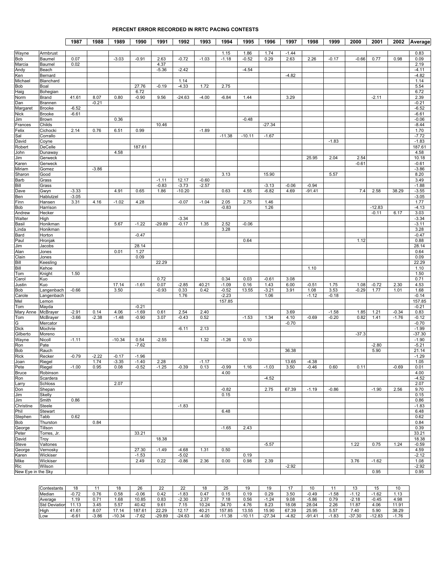#### **PERCENT ERROR RECORDED IN RRTC PACING CONTESTS**

|                      |                         | 1987         | 1988            | 1989               | 1990               | 1991               | 1992             | 1993               | 1994         | 1995     | 1996     | 1997    | 1998     | 1999    | 2000         | 2001     | 2002               | Average            |
|----------------------|-------------------------|--------------|-----------------|--------------------|--------------------|--------------------|------------------|--------------------|--------------|----------|----------|---------|----------|---------|--------------|----------|--------------------|--------------------|
|                      |                         |              |                 |                    |                    |                    |                  |                    |              |          |          |         |          |         |              |          |                    |                    |
| Wayne                | Armbrust                |              |                 |                    |                    |                    | $-0.72$          |                    | 1.15         | 1.86     | 1.74     | $-1.44$ |          |         |              |          |                    | 0.83               |
| <b>Bob</b><br>Marcia | Baumel<br>Baumel        | 0.07<br>0.02 |                 | $-3.03$            | $-0.91$            | 2.63<br>4.37       |                  | $-1.03$            | $-1.18$      | $-0.52$  | 0.29     | 2.63    | 2.26     | $-0.17$ | $-0.66$      | 0.77     | 0.98               | 0.09<br>2.19       |
| Andy                 | Beach                   |              |                 |                    |                    | $-5.36$            | $-2.42$          |                    |              | $-4.54$  |          |         |          |         |              |          |                    | $-4.11$            |
| Ken                  | Bernard                 |              |                 |                    |                    |                    |                  |                    |              |          |          | $-4.82$ |          |         |              |          |                    | $-4.82$            |
| Michael              | Blanchard               |              |                 |                    |                    |                    | 1.14             |                    |              |          |          |         |          |         |              |          |                    | 1.14               |
| <b>Bob</b>           | Boal                    |              |                 |                    | 27.76              | $-0.19$            | $-4.33$          | 1.72               | 2.75         |          |          |         |          |         |              |          |                    | 5.54               |
| Haig                 | Bohegian                |              |                 |                    | 6.72               |                    |                  |                    |              |          |          |         |          |         |              |          |                    | 6.72               |
| Norm<br>Dan          | <b>Brand</b><br>Brannen | 41.61        | 8.07<br>$-0.21$ | 0.80               | $-0.90$            | 9.56               | $-24.63$         | $-4.00$            | $-6.84$      | 1.44     |          | 3.29    |          |         |              | $-2.11$  |                    | 2.39<br>$-0.21$    |
| Margaret             | <b>Brooke</b>           | $-6.52$      |                 |                    |                    |                    |                  |                    |              |          |          |         |          |         |              |          |                    | $-6.52$            |
| Nick                 | <b>Brooke</b>           | $-6.61$      |                 |                    |                    |                    |                  |                    |              |          |          |         |          |         |              |          |                    | $-6.61$            |
| Jim                  | Brown                   |              |                 | 0.36               |                    |                    |                  |                    |              | $-0.48$  |          |         |          |         |              |          |                    | $-0.06$            |
| Frances              | Childs                  |              |                 |                    |                    | 10.46              |                  |                    |              |          | $-27.34$ |         |          |         |              |          |                    | $-8.44$            |
| Felix                | Cichocki                | 2.14         | 0.76            | 6.51               | 0.99               |                    |                  | $-1.89$            |              |          |          |         |          |         |              |          |                    | 1.70               |
| Sal<br>David         | Corrallo<br>Coyne       |              |                 |                    |                    |                    |                  |                    | $-11.38$     | $-10.11$ | $-1.67$  |         |          | $-1.83$ |              |          |                    | $-7.72$<br>$-1.83$ |
| Robert               | DeCelle                 |              |                 |                    | 187.61             |                    |                  |                    |              |          |          |         |          |         |              |          |                    | 187.61             |
| John                 | Dunaway                 |              |                 | 4.58               |                    |                    |                  |                    |              |          |          |         |          |         |              |          |                    | 4.58               |
| Jim                  | Gerweck                 |              |                 |                    |                    |                    |                  |                    |              |          |          |         | 25.95    | 2.04    | 2.54         |          |                    | 10.18              |
| Karen                | Gerweck                 |              |                 |                    |                    |                    |                  |                    |              |          |          |         |          |         | $-0.61$      |          |                    | $-0.61$            |
| Miriam               | Gomez                   |              | $-3.86$         |                    |                    |                    |                  |                    |              |          |          |         |          |         |              |          |                    | $-3.86$            |
| Sharon               | Good                    |              |                 |                    |                    |                    |                  |                    | 3.13         |          | 15.90    |         |          | 5.57    |              |          |                    | 8.20<br>3.49       |
| Barb<br>Bill         | Grass<br>Grass          |              |                 |                    |                    | $-1.11$<br>$-0.83$ | 12.17<br>$-3.73$ | $-0.60$<br>$-2.57$ |              |          | $-3.13$  | $-0.06$ | $-0.94$  |         |              |          |                    | $-1.88$            |
| Dave                 | Gwyn                    | $-3.33$      |                 | 4.91               | 0.65               | 1.86               | $-10.20$         |                    | 0.63         | 4.55     | $-6.82$  | 4.69    | $-91.41$ |         | 7.4          | 2.58     | 38.29              | $-3.55$            |
| Ben                  | Hablutzel               | $-3.05$      |                 |                    |                    |                    |                  |                    |              |          |          |         |          |         |              |          |                    | $-3.05$            |
| Finn                 | Hansen                  | 3.31         | 4.16            | $-1.02$            | 4.28               |                    | $-0.07$          | $-1.04$            | 2.05         | 2.75     | 1.46     |         |          |         |              |          |                    | 1.77               |
| <b>Bob</b>           | Harrison                |              |                 |                    |                    |                    |                  |                    | $-0.83$      |          | 1.26     |         |          |         |              | $-12.83$ |                    | $-4.13$            |
| Andrew               | Hecker                  |              |                 |                    |                    |                    |                  |                    |              |          |          |         |          |         |              | $-0.11$  | 6.17               | 3.03               |
| Walter               | High                    |              |                 |                    |                    |                    | $-3.34$          |                    |              |          |          |         |          |         |              |          |                    | $-3.34$            |
| Basil<br>.inda       | Honikman<br>Honikman    |              |                 | 5.67               | $-1.22$            | $-29.89$           | $-0.17$          | 1.35               | 2.52<br>3.28 | $-0.06$  |          |         |          |         |              |          |                    | $-3.11$<br>3.28    |
| <b>Bard</b>          | Horton                  |              |                 |                    | $-0.47$            |                    |                  |                    |              |          |          |         |          |         |              |          |                    | $-0.47$            |
| Paul                 | Hronjak                 |              |                 |                    |                    |                    |                  |                    |              | 0.64     |          |         |          |         | 1.12         |          |                    | 0.88               |
| Jim                  | Jacobs                  |              |                 |                    | 28.14              |                    |                  |                    |              |          |          |         |          |         |              |          |                    | 28.14              |
| Alan                 | Jones                   |              |                 | 0.01               | 1.27               |                    |                  |                    |              |          |          |         |          |         |              |          |                    | 0.64               |
| Clain                | Jones                   |              |                 |                    | 0.09               |                    |                  |                    |              |          |          |         |          |         |              |          |                    | 0.09               |
| Bill                 | Keesling                |              |                 |                    |                    | 22.29              |                  |                    |              |          |          |         |          |         |              |          |                    | 22.29              |
| Bill<br>Tom          | Kehoe<br>Knight         | 1.50         |                 |                    |                    |                    |                  |                    |              |          |          |         | 1.10     |         |              |          |                    | 1.10<br>1.50       |
| Carol                | Kuo                     |              |                 |                    |                    | 0.72               |                  |                    | 0.34         | 0.03     | $-0.61$  | 3.08    |          |         |              |          |                    | 0.71               |
| Justin               | Kuo                     |              |                 | 17.14              | $-1.61$            | 0.07               | $-2.85$          | 40.21              | $-1.09$      | 0.16     | 1.43     | 6.00    | $-0.51$  | 1.75    | 1.08         | $-0.72$  | 2.30               | 4.53               |
| <b>Bob</b>           | Langenbach              | $-0.66$      |                 | 3.50               |                    | $-0.93$            | 0.33             | 0.42               | $-0.52$      | 13.55    | $-3.21$  | 3.91    | 1.08     | 3.53    | $-0.29$      | 1.77     | 1.01               | 1.68               |
| Carole               | Langenbach              |              |                 |                    |                    |                    | 1.76             |                    | $-2.23$      |          | 1.06     |         | $-1.12$  | $-0.18$ |              |          |                    | $-0.14$            |
| Mel                  | Lemon                   |              |                 |                    |                    |                    |                  |                    | 157.85       |          |          |         |          |         |              |          |                    | 157.85             |
| Tom                  | Mayda                   | $-2.91$      | 0.14            | 4.06               | $-0.21$<br>$-1.69$ | 0.61               | 2.54             | 2.40               |              |          |          | 3.69    |          | $-1.58$ |              | 1.21     |                    | $-0.21$<br>0.83    |
| Mary Anne<br>Tom     | McBrayer<br>McBrayer    | $-3.66$      | $-2.38$         | $-1.48$            | $-0.90$            | 3.07               | $-0.43$          | 0.52               |              | $-1.53$  | 1.34     | 4.10    | $-0.69$  | $-0.20$ | 1.85<br>0.82 | 1.41     | $-0.34$<br>$-1.76$ | $-0.12$            |
| G                    | Mercator                |              |                 |                    |                    |                    |                  |                    |              |          |          | $-0.70$ |          |         |              |          |                    | $-0.70$            |
| <b>Dick</b>          | Mochrie                 |              |                 |                    |                    |                    | $-6.11$          | 2.13               |              |          |          |         |          |         |              |          |                    | $-1.99$            |
| Gilberto             | Moreno                  |              |                 |                    |                    |                    |                  |                    |              |          |          |         |          |         | $-37.3$      |          |                    | $-37.30$           |
| Wayne                | Nicoll                  | $-1.11$      |                 | $-10.34$           | 0.54               | $-2.55$            |                  | 1.32               | $-1.26$      | 0.10     |          |         |          |         |              |          |                    | $-1.90$            |
| Ron                  | Pate                    |              |                 |                    | $-7.62$            |                    |                  |                    |              |          |          |         |          |         |              | $-2.80$  |                    | $-5.21$            |
| <b>Bob</b>           | Rauch                   |              |                 |                    |                    |                    |                  |                    |              |          |          | 36.38   |          |         |              | 5.90     |                    | 21.14<br>$-1.29$   |
| <b>Rick</b><br>Joan  | Recker<br>Riegel        | $-0.79$      | $-2.22$<br>1.74 | $-0.17$<br>$-3.35$ | $-1.96$<br>$-1.40$ | 2.28               |                  | $-1.17$            |              |          |          | 13.65   | $-4.38$  |         |              |          |                    | 1.05               |
| Pete                 | Riegel                  | $-1.00$      | 0.95            | 0.08               | $-0.52$            | $-1.25$            | $-0.39$          | 0.13               | $-0.99$      | 1.16     | $-1.03$  | 3.50    | $-0.46$  | 0.60    | 0.11         |          | $-0.69$            | 0.01               |
| <b>Bruce</b>         | Robinson                |              |                 |                    |                    |                    |                  |                    | 4.00         |          |          |         |          |         |              |          |                    | 4.00               |
| Ron                  | Scardera                |              |                 |                    |                    |                    |                  |                    |              |          | $-4.52$  |         |          |         |              |          |                    | $-4.52$            |
| Larry                | Schloss                 |              |                 | 2.07               |                    |                    |                  |                    |              |          |          |         |          |         |              |          |                    | 2.07               |
| Don                  | Shepan                  |              |                 |                    |                    |                    |                  |                    | $-0.82$      |          | 2.75     | 67.39   | $-1.19$  | $-0.86$ |              | $-1.90$  | 2.56               | 9.70               |
| Jim<br>Jim           | Skelly<br>Smith         | 0.86         |                 |                    |                    |                    |                  |                    | 0.15         |          |          |         |          |         |              |          |                    | 0.15<br>0.86       |
| Christine            | Steele                  |              |                 |                    |                    |                    | $-1.83$          |                    |              |          |          |         |          |         |              |          |                    | $-1.83$            |
| Phil                 | Stewart                 |              |                 |                    |                    |                    |                  |                    | 6.48         |          |          |         |          |         |              |          |                    | 6.48               |
| Stephen              | Tabb                    | 0.62         |                 |                    |                    |                    |                  |                    |              |          |          |         |          |         |              |          |                    | 0.62               |
| Bob                  | Thurston                |              | 0.84            |                    |                    |                    |                  |                    |              |          |          |         |          |         |              |          |                    | 0.84               |
| George               | Tillson                 |              |                 |                    |                    |                    |                  |                    | $-1.65$      | 2.43     |          |         |          |         |              |          |                    | 0.39               |
| Peter                | Torres, Jr.             |              |                 |                    | 33.21              |                    |                  |                    |              |          |          |         |          |         |              |          |                    | 33.21              |
| David<br>Steve       | Troy<br>Vaitones        |              |                 |                    |                    | 18.38              |                  |                    |              |          | $-5.57$  |         |          |         | 1.22         | 0.75     | 1.24               | 18.38<br>$-0.59$   |
| George               | Vernosky                |              |                 |                    | 27.30              | $-1.49$            | $-4.68$          | 1.31               | 0.50         |          |          |         |          |         |              |          |                    | 4.59               |
| Karen                | Wickiser                |              |                 |                    | $-1.53$            |                    | $-5.02$          |                    |              | 0.19     |          |         |          |         |              |          |                    | $-2.12$            |
| Mike                 | Wickiser                |              |                 |                    | 2.49               | 0.22               | $-0.86$          | 2.36               | 0.00         | 0.98     | 2.39     |         |          |         | 3.76         | $-1.62$  |                    | 1.08               |
| Ric                  | Wilson                  |              |                 |                    |                    |                    |                  |                    |              |          |          | $-2.92$ |          |         |              |          |                    | $-2.92$            |
| New Eye in the Sky   |                         |              |                 |                    |                    |                    |                  |                    |              |          |          |         |          |         |              | 0.95     |                    | 0.95               |

| Contestants          | 18      |         | 18       | 26      | 22     | $\sim$<br><u>__</u> | 18      | 25     | 19               | 19       |         |          |             |                          |         | 10           |
|----------------------|---------|---------|----------|---------|--------|---------------------|---------|--------|------------------|----------|---------|----------|-------------|--------------------------|---------|--------------|
| Median               | $-0.72$ | 0.76    | 0.58     | $-0.06$ | 0.42   | 1.83                | 0.47    | 0.15   | 0.19             | 0.29     | 3.50    | $-0.49$  | <b>1.58</b> | $\overline{A}$<br>. . 12 | .62     | 1.13         |
| Average              | .19     | 0.71    | .68      | 10.85   | 0.83   | $-2.30$             | 2.37    | 7.18   | 0.56             | 1.24     | 9.08    | $-5.86$  | 0.79        | $-2.18$                  | $-0.45$ | 4.98         |
| <b>Std Deviation</b> |         | 3.45    | 5.57     | 40.42   | 9.61   | 7.15                | 10.24   | 34.70  | 4.76             | 8.23     | 18.08   | 28.04    | 2.26        | 1.87                     | 4.06    | 11.91        |
| High                 | 41.61   | 8.07    | 17.14    | 187.61  | 22.29  | 12.1<br>$-$         | 40.21   | 157.85 | 13.55            | 15.90    | 67.39   | 25.95    | 5.57        | ـ 40. ،                  | 5.90    | 38.29        |
| LOW                  | $-6.64$ | $-3.86$ | $-10.34$ | 7.62    | -29.89 | $-24.63$            | $-4.00$ | 11.38  | $-10.$<br>$\sim$ | $-27.34$ | $-4.82$ | $-91.4*$ | 1.83        | $-37.30$                 | 12.83   | 1.76<br>$-1$ |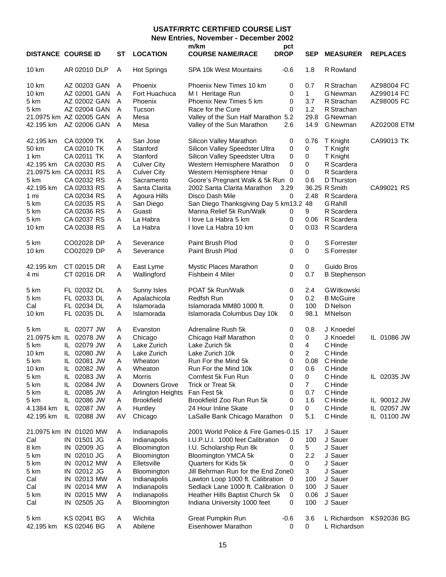# **USATF/RRTC CERTIFIED COURSE LIST**

**New Entries, November - December 2002**

|              | <b>DISTANCE COURSE ID</b>  | SТ     | <b>LOCATION</b>             | m/km<br><b>COURSE NAME/RACE</b>                                 | pct<br><b>DROP</b> | SEP            | <b>MEASURER</b>     | <b>REPLACES</b> |
|--------------|----------------------------|--------|-----------------------------|-----------------------------------------------------------------|--------------------|----------------|---------------------|-----------------|
| 10 km        | AR 02010 DLP               | A      | <b>Hot Springs</b>          | SPA 10k West Mountains                                          | -0.6               | 1.8            | R Rowland           |                 |
| <b>10 km</b> | AZ 00203 GAN               | A      | Phoenix                     | Phoenix New Times 10 km                                         | 0                  | 0.7            | R Strachan          | AZ98004 FC      |
| 10 km        | AZ 02001 GAN               | A      | Fort Huachuca               | M I Heritage Run                                                | 0                  | 1              | <b>G</b> Newman     | AZ99014 FC      |
| 5 km         | AZ 02002 GAN               | A      | Phoenix                     | Phoenix New Times 5 km                                          | 0                  | 3.7            | R Strachan          | AZ98005 FC      |
| 5 km         | AZ 02004 GAN               | A      | Tucson                      | Race for the Cure                                               | 0                  | 1.2            | R Strachan          |                 |
|              | 21.0975 km AZ 02005 GAN    | A      | Mesa                        | Valley of the Sun Half Marathon 5.2                             |                    | 29.8           | <b>G</b> Newman     |                 |
| 42.195 km    | AZ 02006 GAN               | Α      | Mesa                        | Valley of the Sun Marathon                                      | 2.6                | 14.9           | <b>G</b> Newman     | AZ02008 ETM     |
| 42.195 km    | CA 02009 TK                | Α      | San Jose                    | Silicon Valley Marathon                                         | 0                  | 0.76           | T Knight            | CA99013 TK      |
| 50 km        | CA 02010 TK                | Α      | Stanford                    | Silicon Valley Speedster Ultra                                  | 0                  | 0              | T Knight            |                 |
| 1 km         | CA 02011 TK                | Α      | Stanford                    | Silicon Valley Speedster Ultra                                  | 0                  | 0              | T Knight            |                 |
| 42.195 km    | CA 02030 RS                | Α      | <b>Culver City</b>          | Western Hemisphere Marathon                                     | 0                  | 0              | R Scardera          |                 |
|              | 21.0975 km CA 02031 RS     | Α      | <b>Culver City</b>          | Western Hemisphere Hmar                                         | 0                  | 0              | R Scardera          |                 |
| 5 km         | CA 02032 RS                | Α      | Sacramento                  | Goore's Pregnant Walk & 5k Run 0                                |                    | 0.6            | D Thurston          |                 |
| 42.195 km    | CA 02033 RS                | Α      | Santa Clarita               | 2002 Santa Clarita Marathon                                     | 3.29               |                | 36.25 R Smith       | CA99021 RS      |
| 1 mi         | CA 02034 RS                | A      | Agoura Hills                | Disco Dash Mile                                                 | 0                  | 2.48           | R Scardera          |                 |
| 5 km         | CA 02035 RS                | Α      | San Diego                   | San Diego Thanksgiving Day 5 km13.2 48                          |                    |                | <b>G</b> Rahill     |                 |
| 5 km         | CA 02036 RS                | Α      | Guasti                      | Manna Relief 5k Run/Walk                                        | 0                  | 9              | R Scardera          |                 |
| 5 km         | CA 02037 RS                | Α      | La Habra                    | I love La Habra 5 km                                            | 0                  | 0.06           | R Scardera          |                 |
| 10 km        | CA 02038 RS                | Α      | La Habra                    | I love La Habra 10 km                                           | 0                  | 0.03           | R Scardera          |                 |
| 5 km         | CO02028 DP                 | Α      | Severance                   | Paint Brush Plod                                                | 0                  | 0              | <b>S</b> Forrester  |                 |
| 10 km        | CO02029 DP                 | Α      | Severance                   | Paint Brush Plod                                                | 0                  | 0              | <b>S</b> Forrester  |                 |
| 42.195 km    | CT 02015 DR                | Α      | East Lyme                   | Mystic Places Marathon                                          | 0                  | 0              | Guido Bros          |                 |
| 4 mi         | CT 02016 DR                | Α      | Wallingford                 | Fishbein 4 Miler                                                | 0                  | 0.7            | <b>B</b> Stephenson |                 |
| 5 km         | FL 02032 DL                | Α      | Sunny Isles                 | POAT 5k Run/Walk                                                | 0                  | 2.4            | GWitkowski          |                 |
| 5 km         | FL 02033 DL                | A      | Apalachicola                | <b>Redfsh Run</b>                                               | 0                  | 0.2            | <b>B</b> McGuire    |                 |
| Cal          | FL 02034 DL                | Α      | Islamorada                  | Islamorada MM80 1000 ft.                                        | 0                  | 100            | D Nelson            |                 |
| 10 km        | FL 02035 DL                | Α      | Islamorada                  | Islamorada Columbus Day 10k                                     | 0                  | 98.1           | MNelson             |                 |
| 5 km         | IL 02077 JW                | A      | Evanston                    | Adrenaline Rush 5k                                              | 0                  | 0.8            | J Knoedel           |                 |
|              | 21.0975 km IL 02078 JW     | A      | Chicago                     | Chicago Half Marathon                                           | 0                  | 0              | J Knoedel           | IL 01086 JW     |
| 5 km         | IL 02079 JW                | Α      | Lake Zurich                 | Lake Zurich 5k                                                  | 0                  | $\overline{4}$ | C Hinde             |                 |
| 10 km        | IL 02080 JW                | A      | Lake Zurich                 | Lake Zurich 10k                                                 | 0                  | $\overline{2}$ | C Hinde             |                 |
| 5 km         | IL 02081 JW                | Α      | Wheaton                     | Run For the Mind 5k                                             | 0                  | 0.08           | C Hinde             |                 |
| 10 km        | 02082 JW<br>IL.            | Α      | Wheaton                     | Run For the Mind 10k                                            | 0                  | 0.6            | C Hinde             |                 |
| 5 km         | IL 02083 JW                | Α      | <b>Morris</b>               | Cornfest 5k Fun Run                                             | 0                  | 0              | C Hinde             | IL 02035 JW     |
| 5 km         | IL 02084 JW                | A      | Downers Grove               | Trick or Treat 5k                                               | 0                  | $\overline{7}$ | C Hinde             |                 |
| 5 km         | IL 02085 JW                | Α      | Arlington Heights           | Fan Fest 5k                                                     | 0                  | 0.7            | C Hinde             |                 |
| 5 km         | IL 02086 JW                | Α      | <b>Brookfield</b>           | Brookfield Zoo Run Run 5k                                       | 0                  | 1.6            | C Hinde             | IL 90012 JW     |
| 4.1384 km    | IL 02087 JW                | Α      | Huntley                     | 24 Hour Inline Skate                                            | 0                  | 0              | C Hinde             | IL 02057 JW     |
| 42.195 km    | IL 02088 JW                | AV     | Chicago                     | LaSalle Bank Chicago Marathon                                   | 0                  | 5.1            | C Hinde             | 01100 JW<br>IL. |
|              | 21.0975 km IN 01020 MW     | Α      | Indianapolis                | 2001 World Police & Fire Games-0.15                             |                    | 17             | J Sauer             |                 |
| Cal          | IN 01501 JG                | Α      | Indianapolis                | I.U.P.U.I. 1000 feet Calibration                                | 0                  | 100            | J Sauer             |                 |
| 8 km         | IN 02009 JG                | Α      | Bloomington                 | I.U. Scholarship Run 8k                                         | 0                  | 5              | J Sauer             |                 |
| 5 km         | IN 02010 JG                | Α      | Bloomington                 | <b>Bloomington YMCA 5k</b>                                      | 0                  | 2.2            | J Sauer             |                 |
| 5 km         | IN 02012 MW                | Α      | Elletsville                 | Quarters for Kids 5k                                            | 0                  | 0              | J Sauer             |                 |
| 5 km         | IN 02012 JG                | Α      | Bloomington                 | Jill Behrman Run for the End Zone0                              |                    | 3              | J Sauer             |                 |
| Cal          | IN 02013 MW                | Α      | Indianapolis                | Lawton Loop 1000 ft. Calibration 0                              |                    | 100            | J Sauer             |                 |
| Cal          | IN 02014 MW                | Α      | Indianapolis                | Sedlack Lane 1000 ft. Calibration 0                             |                    | 100            | J Sauer             |                 |
| 5 km<br>Cal  | IN 02015 MW<br>IN 02505 JG | Α<br>Α | Indianapolis<br>Bloomington | Heather Hills Baptist Church 5k<br>Indiana University 1000 feet | 0<br>0             | 0.06<br>100    | J Sauer<br>J Sauer  |                 |
| 5 km         | KS 02041 BG                | Α      | Wichita                     | <b>Great Pumpkin Run</b>                                        | $-0.6$             | 3.6            | L Richardson        | KS92036 BG      |
| 42.195 km    | KS 02046 BG                | A      | Abilene                     | Eisenhower Marathon                                             | 0                  | 0              | L Richardson        |                 |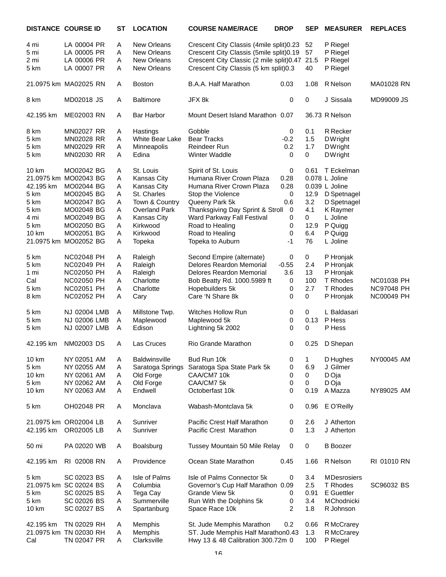|            | <b>DISTANCE COURSE ID</b> | SТ | <b>LOCATION</b>      | <b>COURSE NAME/RACE</b>                   | <b>DROP</b> | <b>SEP</b> | <b>MEASURER</b>    | <b>REPLACES</b>   |
|------------|---------------------------|----|----------------------|-------------------------------------------|-------------|------------|--------------------|-------------------|
| 4 mi       | LA 00004 PR               | Α  | <b>New Orleans</b>   | Crescent City Classis (4mile split) 0.23  |             | 52         | P Riegel           |                   |
| 5 mi       | LA 00005 PR               | Α  | New Orleans          | Crescent City Classis (5mile split) 0.19  |             | 57         | P Riegel           |                   |
| 2 mi       | LA 00006 PR               | Α  | New Orleans          | Crescent City Classic (2 mile split) 0.47 |             | 21.5       | P Riegel           |                   |
| 5 km       | LA 00007 PR               | Α  | New Orleans          | Crescent City Classis (5 km split) 0.3    |             | 40         | P Riegel           |                   |
|            |                           |    |                      |                                           |             |            |                    |                   |
|            | 21.0975 km MA02025 RN     | A  | <b>Boston</b>        | B.A.A. Half Marathon                      | 0.03        | 1.08       | R Nelson           | MA01028 RN        |
| 8 km       | MD02018 JS                | A  | <b>Baltimore</b>     | JFX 8k                                    | 0           | 0          | J Sissala          | MD99009 JS        |
| 42.195 km  | ME02003 RN                | Α  | <b>Bar Harbor</b>    | Mount Desert Island Marathon 0.07         |             |            | 36.73 R Nelson     |                   |
| 8 km       | MN02027 RR                | Α  | Hastings             | Gobble                                    | 0           | 0.1        | <b>R</b> Recker    |                   |
| 5 km       | MN02028 RR                | Α  | White Bear Lake      | <b>Bear Tracks</b>                        | $-0.2$      | 1.5        | <b>DWright</b>     |                   |
| 5 km       | MN02029 RR                | Α  | Minneapolis          | Reindeer Run                              | 0.2         | 1.7        | <b>DWright</b>     |                   |
| 5 km       | MN02030 RR                | Α  | Edina                | Winter Waddle                             | 0           | 0          | <b>DWright</b>     |                   |
| 10 km      | MO02042 BG                | A  | St. Louis            | Spirit of St. Louis                       | $\pmb{0}$   | 0.61       | T Eckelman         |                   |
|            | 21.0975 km MO02043 BG     | Α  | Kansas City          | Humana River Crown Plaza                  | 0.28        |            | 0.078 L Joline     |                   |
| 42.195 km  | MO02044 BG                | Α  | <b>Kansas City</b>   | Humana River Crown Plaza                  | 0.28        |            | 0.039 L Joline     |                   |
| 5 km       | MO02045 BG                | Α  | St. Charles          | Stop the Violence                         | 0           | 12.9       | D Spetnagel        |                   |
| 5 km       | MO02047 BG                | Α  | Town & Country       | Queeny Park 5k                            | 0.6         | 3.2        | D Spetnagel        |                   |
| 5 km       | MO02048 BG                | A  | <b>Overland Park</b> | Thanksgiving Day Sprint & Stroll          | $\mathbf 0$ | 4.1        | K Raymer           |                   |
| 4 mi       | MO02049 BG                | Α  | Kansas City          | Ward Parkway Fall Festival                | 0           | 0          | L Joline           |                   |
| 5 km       | MO02050 BG                | Α  | Kirkwood             | Road to Healing                           | $\mathbf 0$ | 12.9       | P Quigg            |                   |
| 10 km      | MO02051 BG                | Α  | Kirkwood             | Road to Healing                           | 0           | 6.4        | P Quigg            |                   |
| 21.0975 km | MO02052 BG                | Α  | Topeka               | Topeka to Auburn                          | -1          | 76         | L Joline           |                   |
| 5 km       | <b>NC02048 PH</b>         | A  | Raleigh              | Second Empire (alternate)                 | 0           | 0          | P Hronjak          |                   |
| 5 km       | <b>NC02049 PH</b>         | Α  | Raleigh              | <b>Delores Reardon Memorial</b>           | $-0.55$     | 2.4        | P Hronjak          |                   |
| 1 mi       | <b>NC02050 PH</b>         | Α  | Raleigh              | Delores Reardon Memorial                  | 3.6         | 13         | P Hronjak          |                   |
| Cal        | <b>NC02050 PH</b>         | Α  | Charlotte            | Bob Beatty Rd. 1000.5989 ft               | 0           | 100        | T Rhodes           | <b>NC01038 PH</b> |
| 5 km       | <b>NC02051 PH</b>         | Α  | Charlotte            | Hopebuilders 5k                           | $\,0\,$     | 2.7        | T Rhodes           | <b>NC97048 PH</b> |
| 8 km       | <b>NC02052 PH</b>         | Α  | Cary                 | Care 'N Share 8k                          | 0           | 0          | P Hronjak          | <b>NC00049 PH</b> |
| 5 km       | NJ 02004 LMB              | Α  | Millstone Twp.       | Witches Hollow Run                        | 0           | 0          | L Baldasari        |                   |
| 5 km       | NJ 02006 LMB              | Α  | Maplewood            | Maplewood 5k                              | 0           | 0.13       | P Hess             |                   |
| 5 km       | NJ 02007 LMB              | Α  | Edison               | Lightning 5k 2002                         | 0           | 0          | P Hess             |                   |
| 42.195 km  | <b>NM02003 DS</b>         | Α  | Las Cruces           | Rio Grande Marathon                       | 0           |            |                    |                   |
|            |                           |    |                      |                                           |             | 0.25       | D Shepan           |                   |
| 10 km      | NY 02051 AM               | A  | <b>Baldwinsville</b> | Bud Run 10k                               | 0           | 1          | D Hughes           | NY00045 AM        |
| 5 km       | NY 02055 AM               | Α  | Saratoga Springs     | Saratoga Spa State Park 5k                | 0           | 6.9        | J Gilmer           |                   |
| 10 km      | NY 02061 AM               | Α  | Old Forge            | CAA/CM7 10k                               | 0           | 0          | D Oja              |                   |
| 5 km       | NY 02062 AM               | A  | Old Forge            | CAA/CM7 5k                                | 0           | 0          | D Oja              |                   |
| 10 km      | NY 02063 AM               | Α  | Endwell              | Octoberfast 10k                           | 0           | 0.19       | A Mazza            | NY89025 AM        |
| 5 km       | OH02048 PR                | A  | Monclava             | Wabash-Montclava 5k                       | 0           | 0.96       | E O'Reilly         |                   |
|            | 21.0975 km OR02004 LB     | A  | Sunriver             | Pacific Crest Half Marathon               | 0           | 2.6        | J Atherton         |                   |
| 42.195 km  | OR02005 LB                | Α  | Sunriver             | Pacific Crest Marathon                    | 0           | 1.3        | J Atherton         |                   |
| 50 mi      | PA 02020 WB               | A  | Boalsburg            | Tussey Mountain 50 Mile Relay             | 0           | 0          | <b>B</b> Boozer    |                   |
| 42.195 km  | RI 02008 RN               | A  | Providence           | Ocean State Marathon                      | 0.45        | 1.66       | R Nelson           | RI 01010 RN       |
| 5 km       | SC 02023 BS               | A  | Isle of Palms        | Isle of Palms Connector 5k                | 0           | 3.4        | <b>MDesrosiers</b> |                   |
|            | 21.0975 km SC 02024 BS    | A  | Columbia             | Governor's Cup Half Marathon 0.09         |             | 2.5        | T Rhodes           | SC96032 BS        |
| 5 km       | SC 02025 BS               | Α  | Tega Cay             | Grande View 5k                            | 0           | 0.91       | <b>E</b> Guettler  |                   |
| 5 km       | SC 02026 BS               | Α  | Summerville          | Run With the Dolphins 5k                  | 0           | 3.4        | <b>MChodnicki</b>  |                   |
| 10 km      | SC 02027 BS               | Α  | Spartanburg          | Space Race 10k                            | 2           | 1.8        | R Johnson          |                   |
| 42.195 km  | TN 02029 RH               | A  | Memphis              | St. Jude Memphis Marathon                 | 0.2         | 0.66       | R McCrarey         |                   |
|            | 21.0975 km TN 02030 RH    | Α  | Memphis              | ST. Jude Memphis Half Marathon0.43        |             | 1.3        | R McCrarey         |                   |
| Cal        | TN 02047 PR               | Α  | Clarksville          | Hwy 13 & 48 Calibration 300.72m 0         |             | 100        | P Riegel           |                   |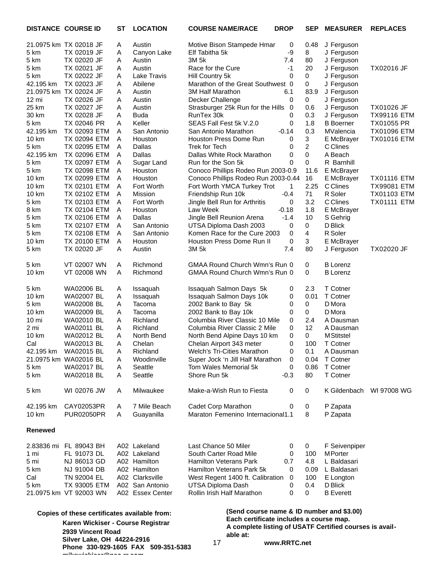|                   | <b>DISTANCE COURSE ID</b>                    | SТ | <b>LOCATION</b>    | <b>COURSE NAME/RACE</b>                                 | <b>DROP</b>  | <b>SEP</b>     | <b>MEASURER</b>   | <b>REPLACES</b>    |  |
|-------------------|----------------------------------------------|----|--------------------|---------------------------------------------------------|--------------|----------------|-------------------|--------------------|--|
|                   | 21.0975 km TX 02018 JF                       | Α  | Austin             | Motive Bison Stampede Hmar                              | 0            | 0.48           | J Ferguson        |                    |  |
| 5 km              | TX 02019 JF                                  | Α  | Canyon Lake        | Elf Tabitha 5k                                          | -9           | 8              | J Ferguson        |                    |  |
| 5 km              | TX 02020 JF                                  | Α  | Austin             | 3M 5k                                                   | 7.4          | 80             | J Ferguson        |                    |  |
| 5 km              | TX 02021 JF                                  | Α  | Austin             | Race for the Cure                                       | $-1$         | 20             | J Ferguson        | <b>TX02016 JF</b>  |  |
| 5 km              | TX 02022 JF                                  | Α  | <b>Lake Travis</b> | Hill Country 5k                                         | 0            | 0              | J Ferguson        |                    |  |
| 42.195 km         | TX 02023 JF                                  | Α  | Abilene            | Marathon of the Great Southwest 0                       |              | 0              | J Ferguson        |                    |  |
|                   | 21.0975 km TX 02024 JF                       | Α  | Austin             | 3M Half Marathon                                        | 6.1          | 83.9           | J Ferguson        |                    |  |
| $12 \, \text{mi}$ | TX 02026 JF                                  | Α  | Austin             | Decker Challenge                                        | 0            | 0              | J Ferguson        |                    |  |
| 25 km             | TX 02027 JF                                  | Α  | Austin             | Strasburger 25k Run for the Hills 0                     |              | 0.6            | J Ferguson        | TX01026 JF         |  |
| 30 km             | TX 02028 JF                                  | Α  | <b>Buda</b>        | RunTex 30k                                              | 0            | 0.3            | J Ferguson        | <b>TX99116 ETM</b> |  |
| 5 km              | TX 02046 PR                                  | Α  | Keller             | SEAS Fall Fest 5k V.2.0                                 | 0            | 1.8            | <b>B</b> Boerner  | TX01055 PR         |  |
| 42.195 km         | TX 02093 ETM                                 | Α  | San Antonio        | San Antonio Marathon                                    | $-0.14$      | 0.3            | <b>MValencia</b>  | <b>TX01096 ETM</b> |  |
| 10 km             | TX 02094 ETM                                 | Α  | Houston            | Houston Press Dome Run                                  | 0            | 3              | E McBrayer        | <b>TX01016 ETM</b> |  |
| 5 km              | TX 02095 ETM                                 | A  | Dallas             | Trek for Tech                                           | 0            | $\overline{2}$ | C Clines          |                    |  |
| 42.195 km         | TX 02096 ETM                                 | Α  | Dallas             | Dallas White Rock Marathon                              | 0            | 0              | A Beach           |                    |  |
| 5 km              | <b>TX 02097 ETM</b>                          | Α  | Sugar Land         | Run for the Son 5k                                      | 0            | 0              | R Barnhill        |                    |  |
| 5 km              | TX 02098 ETM                                 | A  | Houston            | Conoco Phillips Rodeo Run 2003-0.9                      |              | 11.6           | E McBrayer        |                    |  |
| 10 km             | TX 02099 ETM                                 | Α  | Houston            | Conoco Phillips Rodeo Run 2003-0.44                     |              | 16             | E McBrayer        | <b>TX01116 ETM</b> |  |
| 10 km             | TX 02101 ETM                                 | A  | Fort Worth         | Fort Worth YMCA Turkey Trot                             | $\mathbf{1}$ | 2.25           | C Clines          | <b>TX99081 ETM</b> |  |
| 10 km             | TX 02102 ETM                                 | Α  | Mission            | Friendship Run 10k                                      | $-0.4$       | 71             | R Soler           | <b>TX01103 ETM</b> |  |
| 5 km              | TX 02103 ETM                                 | A  | Fort Worth         | Jingle Bell Run for Arthritis                           | 0            | 3.2            | C Clines          | <b>TX01111 ETM</b> |  |
| 8 km              | TX 02104 ETM                                 | Α  | Houston            | Law Week                                                | $-0.18$      | 1.8            | E McBrayer        |                    |  |
| 5 km              | TX 02106 ETM                                 | Α  | Dallas             | Jingle Bell Reunion Arena                               | $-1.4$       | 10             | S Gehrig          |                    |  |
| 5 km              | TX 02107 ETM                                 | Α  | San Antonio        | UTSA Diploma Dash 2003                                  | 0            | 0              | D Blick           |                    |  |
| 5 km              | TX 02108 ETM                                 | Α  | San Antonio        | Komen Race for the Cure 2003                            | 0            | 4              | R Soler           |                    |  |
| 10 km             | <b>TX 20100 ETM</b>                          | Α  | Houston            | Houston Press Dome Run II                               | 0            | 3              | E McBrayer        |                    |  |
| 5 km              | TX 02020 JF                                  | Α  | Austin             | 3M 5k                                                   | 7.4          | 80             | J Ferguson        | TX02020 JF         |  |
| 5 km              | VT 02007 WN                                  | Α  | Richmond           | GMAA Round Church Wmn's Run 0                           |              | 0              | <b>B</b> Lorenz   |                    |  |
| 10 km             | VT 02008 WN                                  | A  | Richmond           | GMAA Round Church Wmn's Run 0                           |              | 0              | <b>B</b> Lorenz   |                    |  |
| 5 km              | WA02006 BL                                   | Α  | Issaquah           | Issaquah Salmon Days 5k                                 | 0            | 2.3            | T Cotner          |                    |  |
| 10 km             | WA02007 BL                                   | A  | Issaquah           | Issaquah Salmon Days 10k                                | 0            | 0.01           | T Cotner          |                    |  |
| 5 km              | WA02008 BL                                   | Α  | Tacoma             | 2002 Bank to Bay 5k                                     | 0            | $\mathbf 0$    | D Mora            |                    |  |
| 10 km             | WA02009 BL                                   | Α  | Tacoma             | 2002 Bank to Bay 10k                                    | 0            | 0              | D Mora            |                    |  |
| 10 mi             | WA02010 BL                                   | Α  | Richland           | Columbia River Classic 10 Mile                          | 0            | 2.4            | A Dausman         |                    |  |
| 2 mi              | <b>WA02011 BL</b>                            | Α  | Richland           | Columbia River Classic 2 Mile                           | 0            | 12             | A Dausman         |                    |  |
| 10 km             | WA02012 BL                                   | Α  | North Bend         | North Bend Alpine Days 10 km                            | 0            | 0              | <b>M</b> Stitstel |                    |  |
| Cal               | WA02013 BL                                   | Α  | Chelan             | Chelan Airport 343 meter                                | 0            | 100            | <b>T</b> Cotner   |                    |  |
| 42.195 km         | <b>WA02015 BL</b>                            | Α  | Richland           | Welch's Tri-Cities Marathon                             | 0            | 0.1            | A Dausman         |                    |  |
|                   | 21.0975 km WA02016 BL                        | Α  | Woodinville        | Super Jock 'n Jill Half Marathon                        | 0            | 0.04           | T Cotner          |                    |  |
| 5 km              | <b>WA02017 BL</b>                            | Α  | Seattle            | Tom Wales Memorial 5k                                   | 0            | 0.86           | T Cotner          |                    |  |
| 5 km              | WA02018 BL                                   | Α  | Seattle            | Shore Run 5k                                            | $-0.3$       | 80             | T Cotner          |                    |  |
| 5 km              | WI 02076 JW                                  | A  | Milwaukee          | Make-a-Wish Run to Fiesta                               | 0            | 0              | K Gildenbach      | WI 97008 WG        |  |
| 42.195 km         | CAY02053PR                                   | Α  | 7 Mile Beach       | Cadet Corp Marathon                                     | 0            | 0              | P Zapata          |                    |  |
| 10 km             | <b>PUR02050PR</b>                            | Α  | Guayanilla         | Maraton Femenino Internacional1.1                       |              | 8              | P Zapata          |                    |  |
| <b>Renewed</b>    |                                              |    |                    |                                                         |              |                |                   |                    |  |
|                   | 2.83836 mi FL 89043 BH                       |    | A02 Lakeland       | Last Chance 50 Miler                                    | 0            | 0              | F Seivenpiper     |                    |  |
| 1 mi              | FL 91073 DL                                  |    | A02 Lakeland       | South Carter Road Mile                                  | 0            | 100            | <b>MPorter</b>    |                    |  |
| 5 mi              | NJ 86013 GD                                  |    | A02 Hamilton       | <b>Hamilton Veterans Park</b>                           | 0.7          | 4.8            | L Baldasari       |                    |  |
| 5 km              | NJ 91004 DB                                  |    | A02 Hamilton       | Hamilton Veterans Park 5k                               | 0            | 0.09           | L Baldasari       |                    |  |
| Cal               | TN 92004 EL                                  |    | A02 Clarksville    | West Regent 1400 ft. Calibration                        | $\mathbf{0}$ | 100            | E Longton         |                    |  |
| 5 km              | TX 93005 ETM                                 |    | A02 San Antonio    | UTSA Diploma Dash                                       | 0            | 0.4            | D Blick           |                    |  |
|                   | 21.0975 km VT 92003 WN                       |    | A02 Essex Center   | Rollin Irish Half Marathon                              | 0            | 0              | <b>B</b> Everett  |                    |  |
|                   | Copies of these certificates available from: |    |                    | (Send course name & ID number and \$3.00)               |              |                |                   |                    |  |
|                   | Karen Wickiser - Course Registrar            |    |                    | Each certificate includes a course map.                 |              |                |                   |                    |  |
|                   | 2939 Vincent Road                            |    |                    | A complete listing of USATF Certified courses is avail- |              |                |                   |                    |  |
|                   |                                              |    |                    | able at:                                                |              |                |                   |                    |  |

17

**Silver Lake, OH 44224-2916 Phone 330-929-1605 FAX 509-351-5383 mikewickiser@neo.rr.com**

**www.RRTC.net**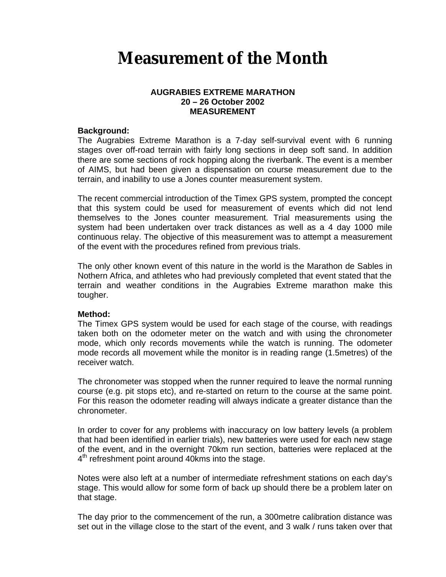# **Measurement of the Month**

# **AUGRABIES EXTREME MARATHON 20 – 26 October 2002 MEASUREMENT**

# **Background:**

The Augrabies Extreme Marathon is a 7-day self-survival event with 6 running stages over off-road terrain with fairly long sections in deep soft sand. In addition there are some sections of rock hopping along the riverbank. The event is a member of AIMS, but had been given a dispensation on course measurement due to the terrain, and inability to use a Jones counter measurement system.

The recent commercial introduction of the Timex GPS system, prompted the concept that this system could be used for measurement of events which did not lend themselves to the Jones counter measurement. Trial measurements using the system had been undertaken over track distances as well as a 4 day 1000 mile continuous relay. The objective of this measurement was to attempt a measurement of the event with the procedures refined from previous trials.

The only other known event of this nature in the world is the Marathon de Sables in Nothern Africa, and athletes who had previously completed that event stated that the terrain and weather conditions in the Augrabies Extreme marathon make this tougher.

## **Method:**

The Timex GPS system would be used for each stage of the course, with readings taken both on the odometer meter on the watch and with using the chronometer mode, which only records movements while the watch is running. The odometer mode records all movement while the monitor is in reading range (1.5metres) of the receiver watch.

The chronometer was stopped when the runner required to leave the normal running course (e.g. pit stops etc), and re-started on return to the course at the same point. For this reason the odometer reading will always indicate a greater distance than the chronometer.

In order to cover for any problems with inaccuracy on low battery levels (a problem that had been identified in earlier trials), new batteries were used for each new stage of the event, and in the overnight 70km run section, batteries were replaced at the 4<sup>th</sup> refreshment point around 40kms into the stage.

Notes were also left at a number of intermediate refreshment stations on each day's stage. This would allow for some form of back up should there be a problem later on that stage.

The day prior to the commencement of the run, a 300metre calibration distance was set out in the village close to the start of the event, and 3 walk / runs taken over that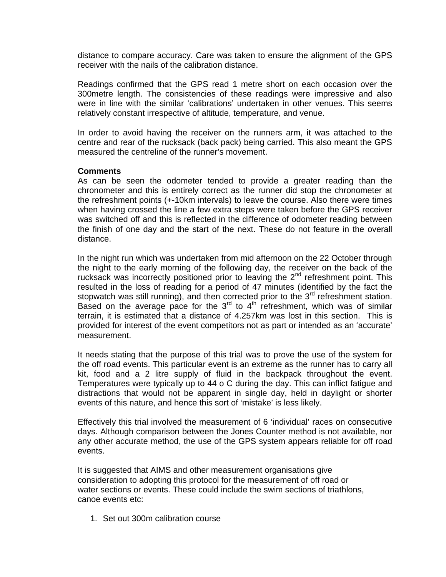distance to compare accuracy. Care was taken to ensure the alignment of the GPS receiver with the nails of the calibration distance.

Readings confirmed that the GPS read 1 metre short on each occasion over the 300metre length. The consistencies of these readings were impressive and also were in line with the similar 'calibrations' undertaken in other venues. This seems relatively constant irrespective of altitude, temperature, and venue.

In order to avoid having the receiver on the runners arm, it was attached to the centre and rear of the rucksack (back pack) being carried. This also meant the GPS measured the centreline of the runner's movement.

## **Comments**

As can be seen the odometer tended to provide a greater reading than the chronometer and this is entirely correct as the runner did stop the chronometer at the refreshment points (+-10km intervals) to leave the course. Also there were times when having crossed the line a few extra steps were taken before the GPS receiver was switched off and this is reflected in the difference of odometer reading between the finish of one day and the start of the next. These do not feature in the overall distance.

In the night run which was undertaken from mid afternoon on the 22 October through the night to the early morning of the following day, the receiver on the back of the rucksack was incorrectly positioned prior to leaving the  $2<sup>nd</sup>$  refreshment point. This resulted in the loss of reading for a period of 47 minutes (identified by the fact the stopwatch was still running), and then corrected prior to the  $3<sup>rd</sup>$  refreshment station. Based on the average pace for the  $3<sup>rd</sup>$  to  $4<sup>th</sup>$  refreshment, which was of similar terrain, it is estimated that a distance of 4.257km was lost in this section. This is provided for interest of the event competitors not as part or intended as an 'accurate' measurement.

It needs stating that the purpose of this trial was to prove the use of the system for the off road events. This particular event is an extreme as the runner has to carry all kit, food and a 2 litre supply of fluid in the backpack throughout the event. Temperatures were typically up to 44 o C during the day. This can inflict fatigue and distractions that would not be apparent in single day, held in daylight or shorter events of this nature, and hence this sort of 'mistake' is less likely.

Effectively this trial involved the measurement of 6 'individual' races on consecutive days. Although comparison between the Jones Counter method is not available, nor any other accurate method, the use of the GPS system appears reliable for off road events.

It is suggested that AIMS and other measurement organisations give consideration to adopting this protocol for the measurement of off road or water sections or events. These could include the swim sections of triathlons, canoe events etc:

1. Set out 300m calibration course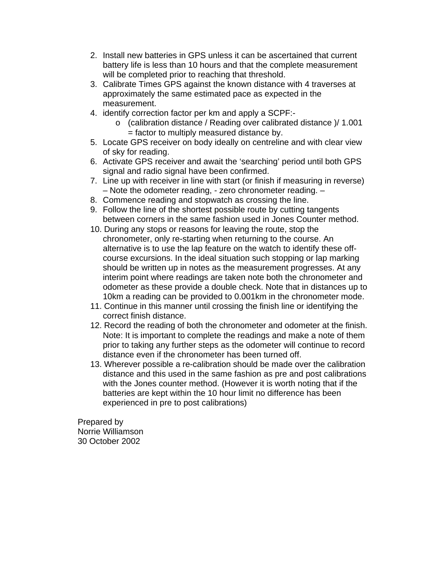- 2. Install new batteries in GPS unless it can be ascertained that current battery life is less than 10 hours and that the complete measurement will be completed prior to reaching that threshold.
- 3. Calibrate Times GPS against the known distance with 4 traverses at approximately the same estimated pace as expected in the measurement.
- 4. identify correction factor per km and apply a SCPF:
	- o (calibration distance / Reading over calibrated distance )/ 1.001 = factor to multiply measured distance by.
- 5. Locate GPS receiver on body ideally on centreline and with clear view of sky for reading.
- 6. Activate GPS receiver and await the 'searching' period until both GPS signal and radio signal have been confirmed.
- 7. Line up with receiver in line with start (or finish if measuring in reverse) – Note the odometer reading, - zero chronometer reading. –
- 8. Commence reading and stopwatch as crossing the line.
- 9. Follow the line of the shortest possible route by cutting tangents between corners in the same fashion used in Jones Counter method.
- 10. During any stops or reasons for leaving the route, stop the chronometer, only re-starting when returning to the course. An alternative is to use the lap feature on the watch to identify these offcourse excursions. In the ideal situation such stopping or lap marking should be written up in notes as the measurement progresses. At any interim point where readings are taken note both the chronometer and odometer as these provide a double check. Note that in distances up to 10km a reading can be provided to 0.001km in the chronometer mode.
- 11. Continue in this manner until crossing the finish line or identifying the correct finish distance.
- 12. Record the reading of both the chronometer and odometer at the finish. Note: It is important to complete the readings and make a note of them prior to taking any further steps as the odometer will continue to record distance even if the chronometer has been turned off.
- 13. Wherever possible a re-calibration should be made over the calibration distance and this used in the same fashion as pre and post calibrations with the Jones counter method. (However it is worth noting that if the batteries are kept within the 10 hour limit no difference has been experienced in pre to post calibrations)

Prepared by Norrie Williamson 30 October 2002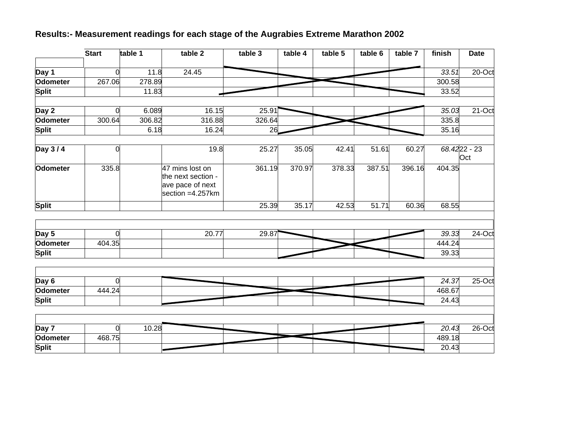# **Results:- Measurement readings for each stage of the Augrabies Extreme Marathon 2002**

|                 | <b>Start</b>   | table 1 | table 2                                                                       | table 3 | table 4 | table 5 | table 6 | table 7 | finish | <b>Date</b>           |
|-----------------|----------------|---------|-------------------------------------------------------------------------------|---------|---------|---------|---------|---------|--------|-----------------------|
| Day 1           | 0              | 11.8    | 24.45                                                                         |         |         |         |         |         | 33.51  | 20-Oct                |
| Odometer        | 267.06         | 278.89  |                                                                               |         |         |         |         |         | 300.58 |                       |
| Split           |                | 11.83   |                                                                               |         |         |         |         |         | 33.52  |                       |
| Day 2           | $\Omega$       | 6.089   | 16.15                                                                         | 25.91   |         |         |         |         | 35.03  | 21-Oct                |
| <b>Odometer</b> | 300.64         | 306.82  | 316.88                                                                        | 326.64  |         |         |         |         | 335.8  |                       |
| <b>Split</b>    |                | 6.18    | 16.24                                                                         | 26      |         |         |         |         | 35.16  |                       |
| Day 3/4         | 0              |         | 19.8                                                                          | 25.27   | 35.05   | 42.41   | 51.61   | 60.27   |        | $68.4222 - 23$<br>Oct |
| <b>Odometer</b> | 335.8          |         | 47 mins lost on<br>the next section -<br>ave pace of next<br>section =4.257km | 361.19  | 370.97  | 378.33  | 387.51  | 396.16  | 404.35 |                       |
| <b>Split</b>    |                |         |                                                                               | 25.39   | 35.17   | 42.53   | 51.71   | 60.36   | 68.55  |                       |
|                 |                |         |                                                                               |         |         |         |         |         |        |                       |
| Day 5           | $\Omega$       |         | 20.77                                                                         | 29.87   |         |         |         |         | 39.33  | $24$ -Oct             |
| <b>Odometer</b> | 404.35         |         |                                                                               |         |         |         |         |         | 444.24 |                       |
| Split           |                |         |                                                                               |         |         |         |         |         | 39.33  |                       |
| Day 6           | $\overline{0}$ |         |                                                                               |         |         |         |         |         | 24.37  | 25-Oct                |
| <b>Odometer</b> | 444.24         |         |                                                                               |         |         |         |         |         | 468.67 |                       |
| Split           |                |         |                                                                               |         |         |         |         |         | 24.43  |                       |
|                 |                |         |                                                                               |         |         |         |         |         |        |                       |
| Day 7           | $\Omega$       | 10.28   |                                                                               |         |         |         |         |         | 20.43  | $26$ -Oct             |
| <b>Odometer</b> | 468.75         |         |                                                                               |         |         |         |         |         | 489.18 |                       |
| Split           |                |         |                                                                               |         |         |         |         |         | 20.43  |                       |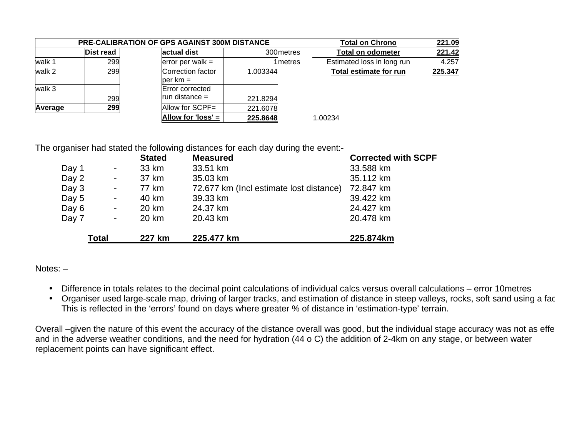|         |           | <b>PRE-CALIBRATION OF GPS AGAINST 300M DISTANCE</b> |            |         | <b>Total on Chrono</b>     | 221.09  |
|---------|-----------|-----------------------------------------------------|------------|---------|----------------------------|---------|
|         | Dist read | actual dist                                         | 300 metres |         | <b>Total on odometer</b>   | 221.42  |
| walk 1  | 299       | error per walk $=$                                  | 1lmetres   |         | Estimated loss in long run | 4.257   |
| walk 2  | 299       | Correction factor<br>$per km =$                     | 1.003344   |         | Total estimate for run     | 225.347 |
| walk 3  | 299       | Error corrected<br>run distance $=$                 | 221.8294   |         |                            |         |
| Average | 299       | Allow for SCPF=                                     | 221.6078   |         |                            |         |
|         |           | Allow for 'loss' =                                  | 225.8648   | 1.00234 |                            |         |

The organiser had stated the following distances for each day during the event:-

|       |                | <b>Stated</b> | <b>Measured</b>                         | <b>Corrected with SCPF</b> |
|-------|----------------|---------------|-----------------------------------------|----------------------------|
| Day 1 | ۰.             | 33 km         | 33.51 km                                | 33.588 km                  |
| Day 2 | $\blacksquare$ | 37 km         | 35.03 km                                | 35.112 km                  |
| Day 3 |                | 77 km         | 72.677 km (Incl estimate lost distance) | 72.847 km                  |
| Day 5 | ۰.             | 40 km         | 39.33 km                                | 39.422 km                  |
| Day 6 | ۰.             | 20 km         | 24.37 km                                | 24.427 km                  |
| Day 7 | ۰.             | 20 km         | 20.43 km                                | 20.478 km                  |
|       | Total          | 227 km        | 225.477 km                              | 225.874km                  |

Notes: –

- Difference in totals relates to the decimal point calculations of individual calcs versus overall calculations error 10metres
- Organiser used large-scale map, driving of larger tracks, and estimation of distance in steep valleys, rocks, soft sand using a fac This is reflected in the 'errors' found on days where greater % of distance in 'estimation-type' terrain.

Overall –given the nature of this event the accuracy of the distance overall was good, but the individual stage accuracy was not as effe and in the adverse weather conditions, and the need for hydration (44 o C) the addition of 2-4km on any stage, or between water replacement points can have significant effect.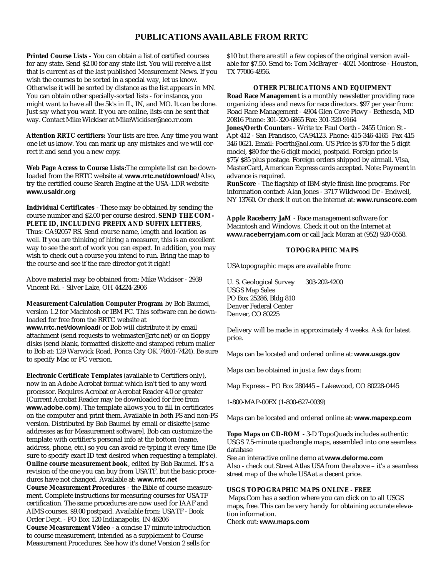## **PUBLICATIONS AVAILABLE FROM RRTC**

**Printed Course Lists -** You can obtain a list of certified courses for any state. Send \$2.00 for any state list. You will receive a list that is current as of the last published Measurement News. If you wish the courses to be sorted in a special way, let us know. Otherwise it will be sorted by distance as the list appears in MN. You can obtain other specially-sorted lists - for instance, you might want to have all the 5k's in IL, IN, and MO. It can be done. Just say what you want. If you are online, lists can be sent that way. Contact Mike Wickiser at MikeWickiser@neo.rr.com

**Attention RRTC certifiers:** Your lists are free. Any time you want one let us know. You can mark up any mistakes and we will correct it and send you a new copy.

**Web Page Access to Course Lists**:The complete list can be downloaded from the RRTC website at **www.rrtc.net/download/** Also, try the certified course Search Engine at the USA-LDR website **www.usaldr.org**

**Individual Certificates** - These may be obtained by sending the course number and \$2.00 per course desired. **SEND THE COM-PLETE ID, INCLUDING PREFIX AND SUFFIX LETTERS**, Thus: CA92057 RS. Send course name, length and location as well. If you are thinking of hiring a measurer, this is an excellent way to see the sort of work you can expect. In addition, you may wish to check out a course you intend to run. Bring the map to the course and see if the race director got it right!

Above material may be obtained from: Mike Wickiser - 2939 Vincent Rd. - Silver Lake, OH 44224-2906

**Measurement Calculation Computer Program** by Bob Baumel, version 1.2 for Macintosh or IBM PC. This software can be downloaded for free from the RRTC website at **www.rrtc.net/download/** or Bob will distribute it by email attachment (send requests to webmaster@rrtc.net) or on floppy disks (send blank, formatted diskette and stamped return mailer to Bob at: 129 Warwick Road, Ponca City OK 74601-7424). Be sure to specify Mac or PC version.

**Electronic Certificate Templates** (available to Certifiers only), now in an Adobe Acrobat format which isn't tied to any word processor. Requires Acrobat or Acrobat Reader 4.0 or greater (Current Acrobat Reader may be downloaded for free from **www.adobe.com**). The template allows you to fill in certificates on the computer and print them. Available in both FS and non-FS version. Distributed by Bob Baumel by email or diskette [same addresses as for Measurement software]. Bob can customize the template with certifier's personal info at the bottom (name, address, phone, etc.) so you can avoid re-typing it every time (Be sure to specify exact ID text desired when requesting a template). **Online course measurement book**, edited by Bob Baumel. It's a revision of the one you can buy from USATF, but the basic procedures have not changed. Available at: **www.rrtc.net Course Measurement Procedures** - the Bible of course measurement. Complete instructions for measuring courses for USATF certification. The same procedures are now used for IAAF and AIMS courses. \$9.00 postpaid. Available from: USATF - Book Order Dept. - PO Box 120 Indianapolis, IN 46206 **Course Measurement Video** - a concise 17 minute introduction to course measurement, intended as a supplement to Course Measurement Procedures. See how it's done! Version 2 sells for

\$10 but there are still a few copies of the original version available for \$7.50. Send to: Tom McBrayer - 4021 Montrose - Houston, TX 77006-4956.

#### **OTHER PUBLICATIONS AND EQUIPMENT**

**Road Race Managemen**t is a monthly newsletter providing race organizing ideas and news for race directors. \$97 per year from: Road Race Management - 4904 Glen Cove Pkwy - Bethesda, MD 20816 Phone: 301-320-6865 Fax: 301-320-9164

**Jones/Oerth Counter**s - Write to: Paul Oerth - 2455 Union St - Apt 412 - San Francisco, CA94123. Phone: 415-346-4165 Fax 415 346 0621. Email: Poerth@aol.com. US Price is \$70 for the 5 digit model, \$80 for the 6 digit model, postpaid. Foreign price is \$75/\$85 plus postage. Foreign orders shipped by airmail. Visa, MasterCard, American Express cards accepted. Note: Payment in advance is required.

**RunScore** - The flagship of IBM-style finish line programs. For information contact: Alan Jones - 3717 Wildwood Dr - Endwell, NY 13760. Or check it out on the internet at: **www.runscore.com**

**Apple Raceberry JaM** - Race management software for Macintosh and Windows. Check it out on the Internet at **www.raceberryjam.com** or call Jack Moran at (952) 920-0558.

#### **TOPOGRAPHIC MAPS**

USAtopographic maps are available from:

U. S. Geological Survey 303-202-4200 USGS Map Sales PO Box 25286, Bldg 810 Denver Federal Center Denver, CO 80225

Delivery will be made in approximately 4 weeks. Ask for latest price.

Maps can be located and ordered online at: **www.usgs.gov**

Maps can be obtained in just a few days from:

Map Express – PO Box 280445 – Lakewood, CO 80228-0445

1-800-MAP-00EX (1-800-627-0039)

Maps can be located and ordered online at: **www.mapexp.com**

**Topo Maps on CD-ROM** - 3-D TopoQuads includes authentic USGS 7.5-minute quadrangle maps, assembled into one seamless database

See an interactive online demo at **www.delorme.com** Also - check out Street Atlas USAfrom the above – it's a seamless street map of the whole USAat a decent price.

#### **USGS TOPOGRAPHIC MAPS ONLINE - FREE**

Maps.Com has a section where you can click on to all USGS maps, free. This can be very handy for obtaining accurate elevation information.

Check out: **www.maps.com**